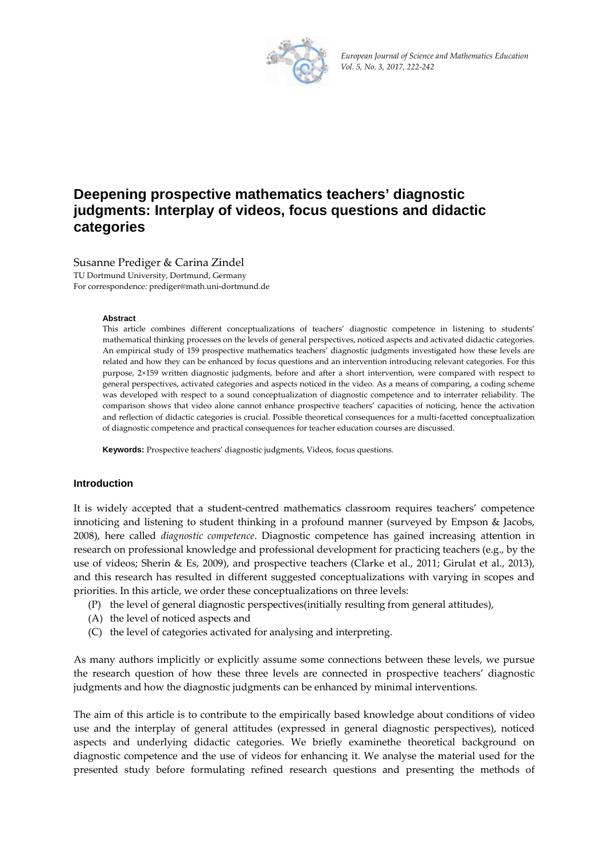

European Journal of Science and Mathematics Education Vol. 5, No. 3, 2017, 222-242

# Deepening prospective mathematics teachers' diagnostic judgments: Interplay of videos, focus questions and didactic categories

## Susanne Prediger & Carina Zindel

TU Dortmund University, Dortmund, Germany For correspondence: prediger@math.uni-dortmund.de

#### **Abstract**

This article combines different conceptualizations of teachers' diagnostic competence in listening to students' mathematical thinking processes on the levels of general perspectives, noticed aspects and activated didactic categories. An empirical study of 159 prospective mathematics teachers' diagnostic judgments investigated how these levels are related and how they can be enhanced by focus questions and an intervention introducing relevant categories. For this purpose, 2×159 written diagnostic judgments, before and after a short intervention, were compared with respect to general perspectives, activated categories and aspects noticed in the video. As a means of comparing, a coding scheme was developed with respect to a sound conceptualization of diagnostic competence and to interrater reliability. The comparison shows that video alone cannot enhance prospective teachers' capacities of noticing, hence the activation and reflection of didactic categories is crucial. Possible theoretical consequences for a multi-facetted conceptualization of diagnostic competence and practical consequences for teacher education courses are discussed.

Keywords: Prospective teachers' diagnostic judgments, Videos, focus questions.

#### **Introduction**

It is widely accepted that a student-centred mathematics classroom requires teachers' competence innoticing and listening to student thinking in a profound manner (surveyed by Empson & Jacobs, 2008), here called *diagnostic competence*. Diagnostic competence has gained increasing attention in research on professional knowledge and professional development for practicing teachers (e.g., by the use of videos; Sherin & Es, 2009), and prospective teachers (Clarke et al., 2011; Girulat et al., 2013), and this research has resulted in different suggested conceptualizations with varying in scopes and priorities. In this article, we order these conceptualizations on three levels:

- (P) the level of general diagnostic perspectives (initially resulting from general attitudes),
- (A) the level of noticed aspects and
- (C) the level of categories activated for analysing and interpreting.

As many authors implicitly or explicitly assume some connections between these levels, we pursue the research question of how these three levels are connected in prospective teachers' diagnostic judgments and how the diagnostic judgments can be enhanced by minimal interventions.

The aim of this article is to contribute to the empirically based knowledge about conditions of video use and the interplay of general attitudes (expressed in general diagnostic perspectives), noticed aspects and underlying didactic categories. We briefly examinethe theoretical background on diagnostic competence and the use of videos for enhancing it. We analyse the material used for the presented study before formulating refined research questions and presenting the methods of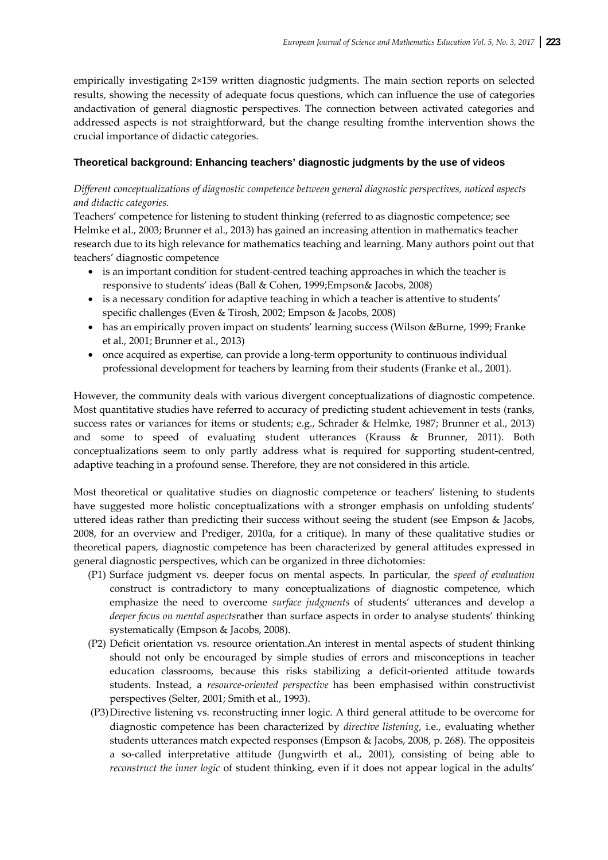empirically investigating 2×159 written diagnostic judgments. The main section reports on selected results, showing the necessity of adequate focus questions, which can influence the use of categories andactivation of general diagnostic perspectives. The connection between activated categories and addressed aspects is not straightforward, but the change resulting fromthe intervention shows the crucial importance of didactic categories.

#### **Theoretical background: Enhancing teachers' diagnostic judgments by the use of videos**

# *Different conceptualizations of diagnostic competence between general diagnostic perspectives, noticed aspects and didactic categories.*

Teachers' competence for listening to student thinking (referred to as diagnostic competence; see Helmke et al., 2003; Brunner et al., 2013) has gained an increasing attention in mathematics teacher research due to its high relevance for mathematics teaching and learning. Many authors point out that teachers' diagnostic competence

- is an important condition for student-centred teaching approaches in which the teacher is responsive to students' ideas (Ball & Cohen, 1999;Empson& Jacobs, 2008)
- is a necessary condition for adaptive teaching in which a teacher is attentive to students' specific challenges (Even & Tirosh, 2002; Empson & Jacobs, 2008)
- has an empirically proven impact on students' learning success (Wilson &Burne, 1999; Franke et al., 2001; Brunner et al., 2013)
- once acquired as expertise, can provide a long-term opportunity to continuous individual professional development for teachers by learning from their students (Franke et al., 2001).

However, the community deals with various divergent conceptualizations of diagnostic competence. Most quantitative studies have referred to accuracy of predicting student achievement in tests (ranks, success rates or variances for items or students; e.g., Schrader & Helmke, 1987; Brunner et al., 2013) and some to speed of evaluating student utterances (Krauss & Brunner, 2011). Both conceptualizations seem to only partly address what is required for supporting student-centred, adaptive teaching in a profound sense. Therefore, they are not considered in this article.

Most theoretical or qualitative studies on diagnostic competence or teachers' listening to students have suggested more holistic conceptualizations with a stronger emphasis on unfolding students' uttered ideas rather than predicting their success without seeing the student (see Empson & Jacobs, 2008, for an overview and Prediger, 2010a, for a critique). In many of these qualitative studies or theoretical papers, diagnostic competence has been characterized by general attitudes expressed in general diagnostic perspectives, which can be organized in three dichotomies:

- (P1) Surface judgment vs. deeper focus on mental aspects. In particular, the *speed of evaluation* construct is contradictory to many conceptualizations of diagnostic competence, which emphasize the need to overcome *surface judgments* of students' utterances and develop a *deeper focus on mental aspects*rather than surface aspects in order to analyse students' thinking systematically (Empson & Jacobs, 2008).
- (P2) Deficit orientation vs. resource orientation.An interest in mental aspects of student thinking should not only be encouraged by simple studies of errors and misconceptions in teacher education classrooms, because this risks stabilizing a deficit‐oriented attitude towards students. Instead, a *resource‐oriented perspective* has been emphasised within constructivist perspectives (Selter, 2001; Smith et al., 1993).
- (P3)Directive listening vs. reconstructing inner logic. A third general attitude to be overcome for diagnostic competence has been characterized by *directive listening*, i.e., evaluating whether students utterances match expected responses (Empson & Jacobs, 2008, p. 268). The oppositeis a so‐called interpretative attitude (Jungwirth et al., 2001), consisting of being able to *reconstruct the inner logic* of student thinking, even if it does not appear logical in the adults'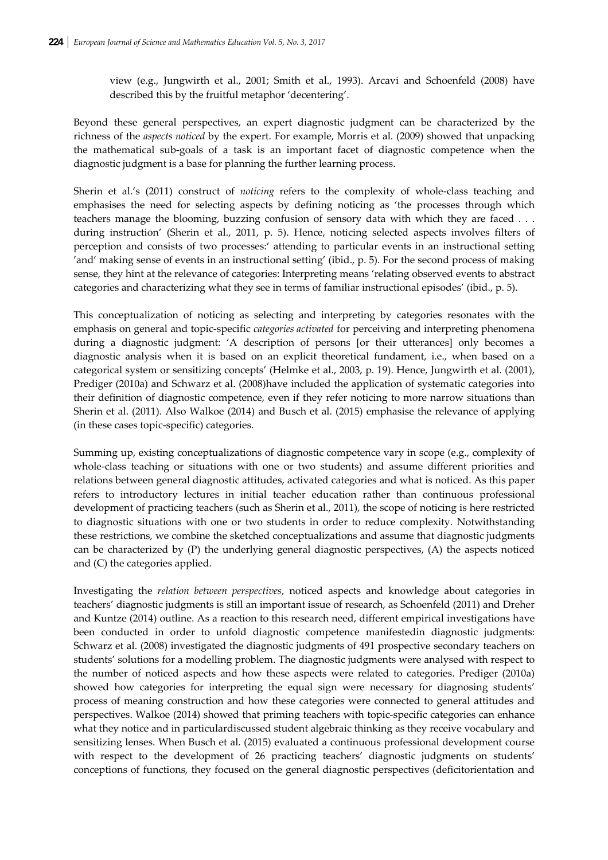view (e.g., Jungwirth et al., 2001; Smith et al., 1993). Arcavi and Schoenfeld (2008) have described this by the fruitful metaphor 'decentering'.

Beyond these general perspectives, an expert diagnostic judgment can be characterized by the richness of the *aspects noticed* by the expert. For example, Morris et al. (2009) showed that unpacking the mathematical sub‐goals of a task is an important facet of diagnostic competence when the diagnostic judgment is a base for planning the further learning process.

Sherin et al.'s (2011) construct of *noticing* refers to the complexity of whole‐class teaching and emphasises the need for selecting aspects by defining noticing as 'the processes through which teachers manage the blooming, buzzing confusion of sensory data with which they are faced . . . during instruction' (Sherin et al., 2011, p. 5). Hence, noticing selected aspects involves filters of perception and consists of two processes:' attending to particular events in an instructional setting 'and' making sense of events in an instructional setting' (ibid., p. 5). For the second process of making sense, they hint at the relevance of categories: Interpreting means 'relating observed events to abstract categories and characterizing what they see in terms of familiar instructional episodes' (ibid., p. 5).

This conceptualization of noticing as selecting and interpreting by categories resonates with the emphasis on general and topic‐specific *categories activated* for perceiving and interpreting phenomena during a diagnostic judgment: 'A description of persons [or their utterances] only becomes a diagnostic analysis when it is based on an explicit theoretical fundament, i.e., when based on a categorical system or sensitizing concepts' (Helmke et al., 2003, p. 19). Hence, Jungwirth et al. (2001), Prediger (2010a) and Schwarz et al. (2008)have included the application of systematic categories into their definition of diagnostic competence, even if they refer noticing to more narrow situations than Sherin et al. (2011). Also Walkoe (2014) and Busch et al. (2015) emphasise the relevance of applying (in these cases topic‐specific) categories.

Summing up, existing conceptualizations of diagnostic competence vary in scope (e.g., complexity of whole-class teaching or situations with one or two students) and assume different priorities and relations between general diagnostic attitudes, activated categories and what is noticed. As this paper refers to introductory lectures in initial teacher education rather than continuous professional development of practicing teachers (such as Sherin et al., 2011), the scope of noticing is here restricted to diagnostic situations with one or two students in order to reduce complexity. Notwithstanding these restrictions, we combine the sketched conceptualizations and assume that diagnostic judgments can be characterized by (P) the underlying general diagnostic perspectives, (A) the aspects noticed and (C) the categories applied.

Investigating the *relation between perspectives*, noticed aspects and knowledge about categories in teachers' diagnostic judgments is still an important issue of research, as Schoenfeld (2011) and Dreher and Kuntze (2014) outline. As a reaction to this research need, different empirical investigations have been conducted in order to unfold diagnostic competence manifestedin diagnostic judgments: Schwarz et al. (2008) investigated the diagnostic judgments of 491 prospective secondary teachers on students' solutions for a modelling problem. The diagnostic judgments were analysed with respect to the number of noticed aspects and how these aspects were related to categories. Prediger (2010a) showed how categories for interpreting the equal sign were necessary for diagnosing students' process of meaning construction and how these categories were connected to general attitudes and perspectives. Walkoe (2014) showed that priming teachers with topic‐specific categories can enhance what they notice and in particulardiscussed student algebraic thinking as they receive vocabulary and sensitizing lenses. When Busch et al. (2015) evaluated a continuous professional development course with respect to the development of 26 practicing teachers' diagnostic judgments on students' conceptions of functions, they focused on the general diagnostic perspectives (deficitorientation and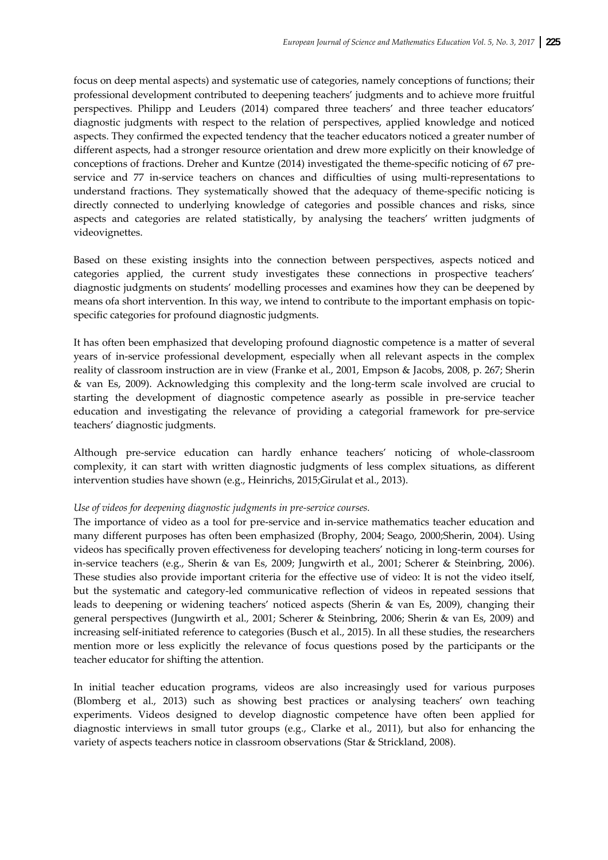focus on deep mental aspects) and systematic use of categories, namely conceptions of functions; their professional development contributed to deepening teachers' judgments and to achieve more fruitful perspectives. Philipp and Leuders (2014) compared three teachers' and three teacher educators' diagnostic judgments with respect to the relation of perspectives, applied knowledge and noticed aspects. They confirmed the expected tendency that the teacher educators noticed a greater number of different aspects, had a stronger resource orientation and drew more explicitly on their knowledge of conceptions of fractions. Dreher and Kuntze (2014) investigated the theme-specific noticing of 67 preservice and 77 in-service teachers on chances and difficulties of using multi-representations to understand fractions. They systematically showed that the adequacy of theme-specific noticing is directly connected to underlying knowledge of categories and possible chances and risks, since aspects and categories are related statistically, by analysing the teachers' written judgments of videovignettes.

Based on these existing insights into the connection between perspectives, aspects noticed and categories applied, the current study investigates these connections in prospective teachers' diagnostic judgments on students' modelling processes and examines how they can be deepened by means ofa short intervention. In this way, we intend to contribute to the important emphasis on topic‐ specific categories for profound diagnostic judgments.

It has often been emphasized that developing profound diagnostic competence is a matter of several years of in-service professional development, especially when all relevant aspects in the complex reality of classroom instruction are in view (Franke et al., 2001, Empson & Jacobs, 2008, p. 267; Sherin & van Es, 2009). Acknowledging this complexity and the long‐term scale involved are crucial to starting the development of diagnostic competence asearly as possible in pre‐service teacher education and investigating the relevance of providing a categorial framework for pre‐service teachers' diagnostic judgments.

Although pre‐service education can hardly enhance teachers' noticing of whole‐classroom complexity, it can start with written diagnostic judgments of less complex situations, as different intervention studies have shown (e.g., Heinrichs, 2015;Girulat et al., 2013).

#### *Use of videos for deepening diagnostic judgments in pre‐service courses.*

The importance of video as a tool for pre-service and in-service mathematics teacher education and many different purposes has often been emphasized (Brophy, 2004; Seago, 2000;Sherin, 2004). Using videos has specifically proven effectiveness for developing teachers' noticing in long‐term courses for in‐service teachers (e.g., Sherin & van Es, 2009; Jungwirth et al., 2001; Scherer & Steinbring, 2006). These studies also provide important criteria for the effective use of video: It is not the video itself, but the systematic and category‐led communicative reflection of videos in repeated sessions that leads to deepening or widening teachers' noticed aspects (Sherin & van Es, 2009), changing their general perspectives (Jungwirth et al., 2001; Scherer & Steinbring, 2006; Sherin & van Es, 2009) and increasing self-initiated reference to categories (Busch et al., 2015). In all these studies, the researchers mention more or less explicitly the relevance of focus questions posed by the participants or the teacher educator for shifting the attention.

In initial teacher education programs, videos are also increasingly used for various purposes (Blomberg et al., 2013) such as showing best practices or analysing teachers' own teaching experiments. Videos designed to develop diagnostic competence have often been applied for diagnostic interviews in small tutor groups (e.g., Clarke et al., 2011), but also for enhancing the variety of aspects teachers notice in classroom observations (Star & Strickland, 2008).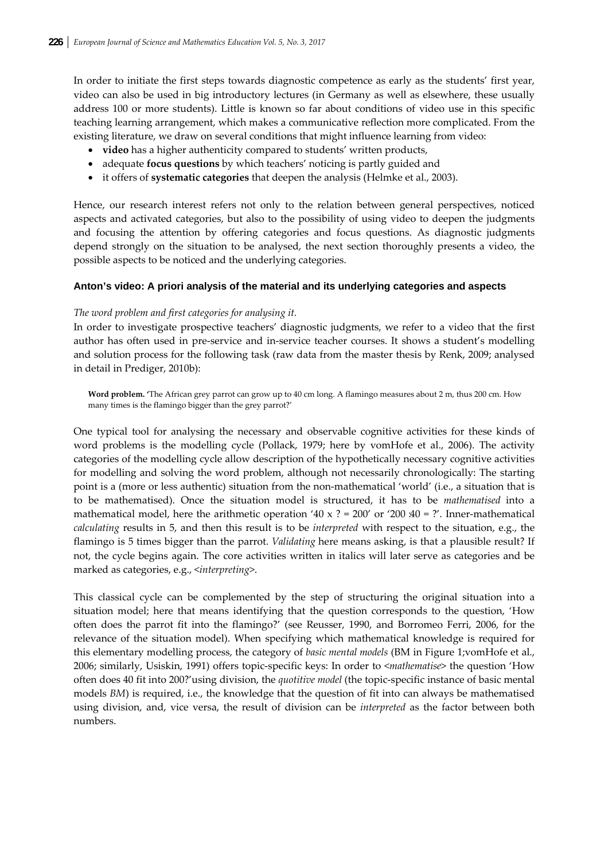In order to initiate the first steps towards diagnostic competence as early as the students' first year, video can also be used in big introductory lectures (in Germany as well as elsewhere, these usually address 100 or more students). Little is known so far about conditions of video use in this specific teaching learning arrangement, which makes a communicative reflection more complicated. From the existing literature, we draw on several conditions that might influence learning from video:

- **video** has a higher authenticity compared to students' written products,
- adequate **focus questions** by which teachers' noticing is partly guided and
- it offers of **systematic categories** that deepen the analysis (Helmke et al., 2003).

Hence, our research interest refers not only to the relation between general perspectives, noticed aspects and activated categories, but also to the possibility of using video to deepen the judgments and focusing the attention by offering categories and focus questions. As diagnostic judgments depend strongly on the situation to be analysed, the next section thoroughly presents a video, the possible aspects to be noticed and the underlying categories.

## **Anton's video: A priori analysis of the material and its underlying categories and aspects**

#### *The word problem and first categories for analysing it.*

In order to investigate prospective teachers' diagnostic judgments, we refer to a video that the first author has often used in pre‐service and in‐service teacher courses. It shows a student's modelling and solution process for the following task (raw data from the master thesis by Renk, 2009; analysed in detail in Prediger, 2010b):

**Word problem. '**The African grey parrot can grow up to 40 cm long. A flamingo measures about 2 m, thus 200 cm. How many times is the flamingo bigger than the grey parrot?'

One typical tool for analysing the necessary and observable cognitive activities for these kinds of word problems is the modelling cycle (Pollack, 1979; here by vomHofe et al., 2006). The activity categories of the modelling cycle allow description of the hypothetically necessary cognitive activities for modelling and solving the word problem, although not necessarily chronologically: The starting point is a (more or less authentic) situation from the non-mathematical 'world' (i.e., a situation that is to be mathematised). Once the situation model is structured, it has to be *mathematised* into a mathematical model, here the arithmetic operation '40 x ? = 200' or '200  $\mu$ 0 = ?'. Inner-mathematical *calculating* results in 5, and then this result is to be *interpreted* with respect to the situation, e.g., the flamingo is 5 times bigger than the parrot. *Validating* here means asking, is that a plausible result? If not, the cycle begins again. The core activities written in italics will later serve as categories and be marked as categories, e.g., <*interpreting*>.

This classical cycle can be complemented by the step of structuring the original situation into a situation model; here that means identifying that the question corresponds to the question, 'How often does the parrot fit into the flamingo?' (see Reusser, 1990, and Borromeo Ferri, 2006, for the relevance of the situation model). When specifying which mathematical knowledge is required for this elementary modelling process, the category of *basic mental models* (BM in Figure 1;vomHofe et al., 2006; similarly, Usiskin, 1991) offers topic‐specific keys: In order to <*mathematise*> the question 'How often does 40 fit into 200?'using division, the *quotitive model* (the topic‐specific instance of basic mental models *BM*) is required, i.e., the knowledge that the question of fit into can always be mathematised using division, and, vice versa, the result of division can be *interpreted* as the factor between both numbers.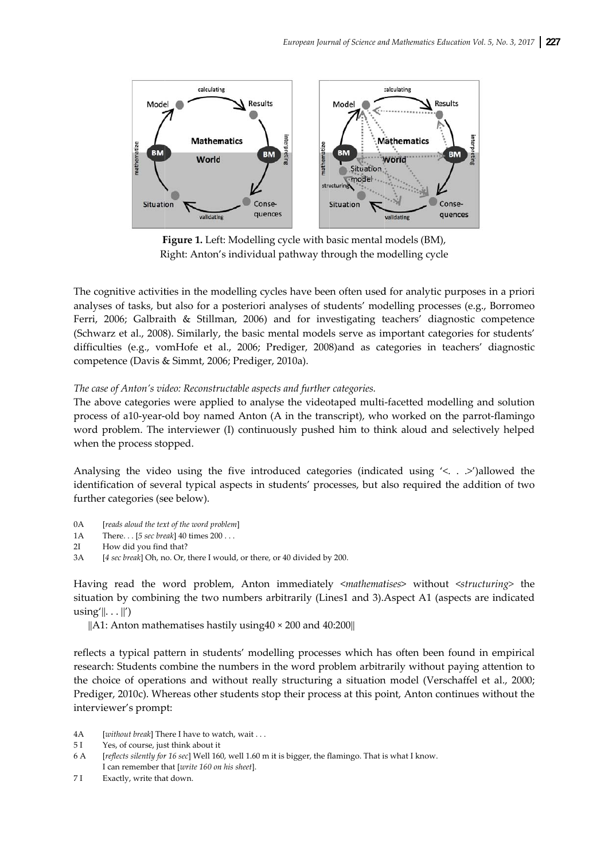

Figure 1. Left: Modelling cycle with basic mental models (BM), Right: Anton's individual pathway through the modelling cycle

The cognitive activities in the modelling cycles have been often used for analytic purposes in a priori analyses of tasks, but also for a posteriori analyses of students' modelling processes (e.g., Borromeo Ferri, 2006; Galbraith & Stillman, 2006) and for investigating teachers' diagnostic competence (Schwarz et al., 2008). Similarly, the basic mental models serve as important categories for students' difficulties (e.g., vomHofe et al., 2006; Prediger, 2008)and as categories in teachers' diagnostic competence (Davis & Simmt, 2006; Prediger, 2010a).

#### The case of Anton's video: Reconstructable aspects and further categories.

The above categories were applied to analyse the videotaped multi-facetted modelling and solution process of a10-year-old boy named Anton (A in the transcript), who worked on the parrot-flamingo word problem. The interviewer (I) continuously pushed him to think aloud and selectively helped when the process stopped.

Analysing the video using the five introduced categories (indicated using '< . . >')allowed the identification of several typical aspects in students' processes, but also required the addition of two further categories (see below).

- $0A$ [reads aloud the text of the word problem]
- $1A$ There. . . [5 sec break] 40 times 200 . . .
- $2<sub>T</sub>$ How did you find that?
- $3A$ [4 sec break] Oh, no. Or, there I would, or there, or 40 divided by 200.

Having read the word problem, Anton immediately <mathematises> without <structuring> the situation by combining the two numbers arbitrarily (Lines1 and 3). Aspect A1 (aspects are indicated  $using' \dots \|')$ 

 $\|$ A1: Anton mathematises hastily using 40 × 200 and 40:200 $\|$ 

reflects a typical pattern in students' modelling processes which has often been found in empirical research: Students combine the numbers in the word problem arbitrarily without paying attention to the choice of operations and without really structuring a situation model (Verschaffel et al., 2000; Prediger, 2010c). Whereas other students stop their process at this point, Anton continues without the interviewer's prompt:

- $4A$ [without break] There I have to watch, wait . . .
- $5I$ Yes, of course, just think about it
- 6 A [reflects silently for 16 sec] Well 160, well 1.60 m it is bigger, the flamingo. That is what I know. I can remember that [write 160 on his sheet].
- $7I$ Exactly, write that down.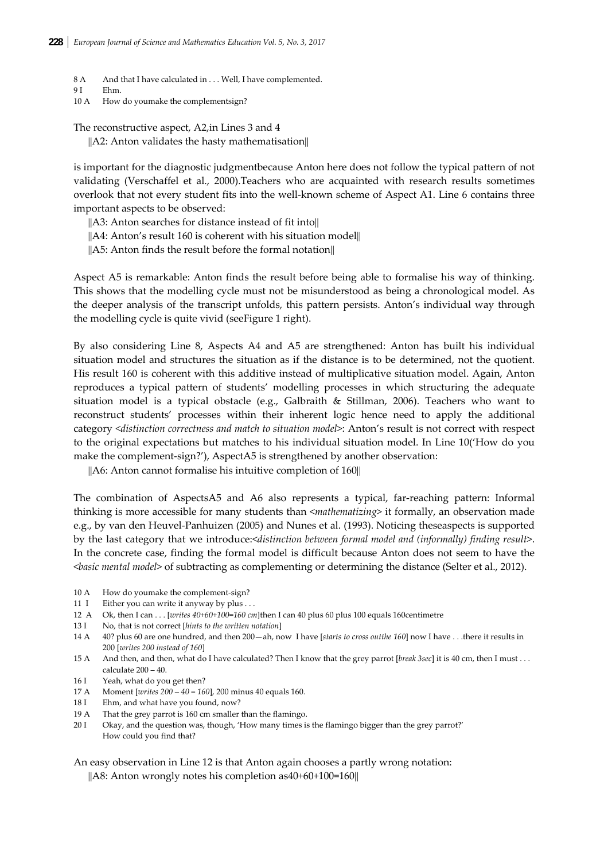- 8 A And that I have calculated in . . . Well, I have complemented.
- 9 I Ehm.
- 10 A How do youmake the complementsign?

## The reconstructive aspect, A2,in Lines 3 and 4

 $||A2:$  Anton validates the hasty mathematisation $||$ 

is important for the diagnostic judgmentbecause Anton here does not follow the typical pattern of not validating (Verschaffel et al., 2000).Teachers who are acquainted with research results sometimes overlook that not every student fits into the well‐known scheme of Aspect A1. Line 6 contains three important aspects to be observed:

||A3: Anton searches for distance instead of fit into||

||A4: Anton's result 160 is coherent with his situation model||

 $||A5:$  Anton finds the result before the formal notation $||$ 

Aspect A5 is remarkable: Anton finds the result before being able to formalise his way of thinking. This shows that the modelling cycle must not be misunderstood as being a chronological model. As the deeper analysis of the transcript unfolds, this pattern persists. Anton's individual way through the modelling cycle is quite vivid (seeFigure 1 right).

By also considering Line 8, Aspects A4 and A5 are strengthened: Anton has built his individual situation model and structures the situation as if the distance is to be determined, not the quotient. His result 160 is coherent with this additive instead of multiplicative situation model. Again, Anton reproduces a typical pattern of students' modelling processes in which structuring the adequate situation model is a typical obstacle (e.g., Galbraith & Stillman, 2006). Teachers who want to reconstruct students' processes within their inherent logic hence need to apply the additional category <*distinction correctness and match to situation model*>: Anton's result is not correct with respect to the original expectations but matches to his individual situation model. In Line 10('How do you make the complement-sign?'), AspectA5 is strengthened by another observation:

||A6: Anton cannot formalise his intuitive completion of 160||

The combination of AspectsA5 and A6 also represents a typical, far-reaching pattern: Informal thinking is more accessible for many students than <*mathematizing*> it formally, an observation made e.g., by van den Heuvel‐Panhuizen (2005) and Nunes et al. (1993). Noticing theseaspects is supported by the last category that we introduce:<*distinction between formal model and (informally) finding result*>. In the concrete case, finding the formal model is difficult because Anton does not seem to have the <*basic mental model*> of subtracting as complementing or determining the distance (Selter et al., 2012).

- 10 A How do youmake the complement-sign?
- 11 I Either you can write it anyway by plus  $\dots$
- 12 A Ok, then I can . . . [*writes 40+60+100=160 cm*]then I can 40 plus 60 plus 100 equals 160centimetre
- 13 I No, that is not correct [*hints to the written notation*]
- 14 A 40? plus 60 are one hundred, and then 200—ah, now I have [*starts to cross outthe 160*] now I have . . .there it results in 200 [*writes 200 instead of 160*]
- 15 A And then, and then, what do I have calculated? Then I know that the grey parrot [*break 3sec*] it is 40 cm, then I must . . . calculate 200 – 40.
- 16 I Yeah, what do you get then?
- 17 A Moment [*writes 200 – 40 = 160*], 200 minus 40 equals 160.
- 18 I Ehm, and what have you found, now?
- 19 A That the grey parrot is 160 cm smaller than the flamingo.
- 20 I Okay, and the question was, though, 'How many times is the flamingo bigger than the grey parrot?' How could you find that?

An easy observation in Line 12 is that Anton again chooses a partly wrong notation:

||A8: Anton wrongly notes his completion as40+60+100=160||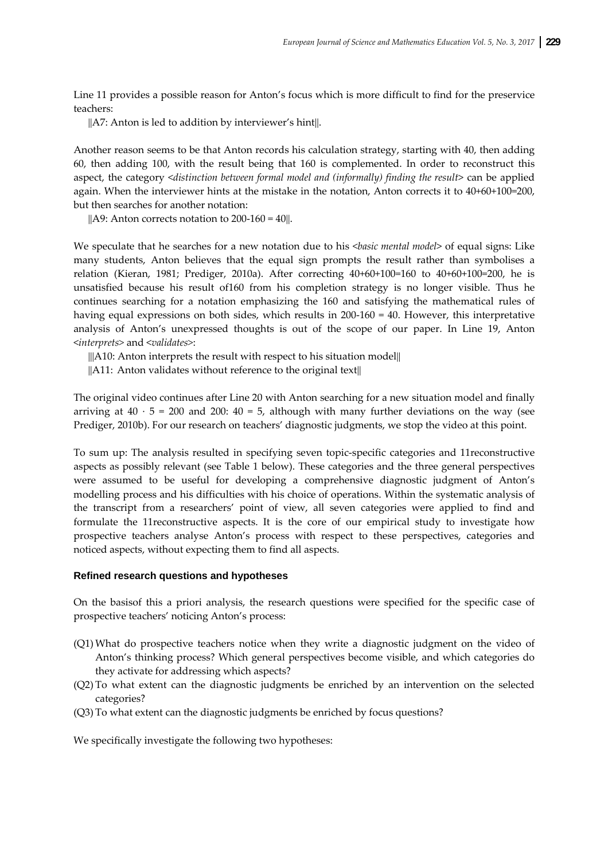Line 11 provides a possible reason for Anton's focus which is more difficult to find for the preservice teachers:

||A7: Anton is led to addition by interviewer's hint||.

Another reason seems to be that Anton records his calculation strategy, starting with 40, then adding 60, then adding 100, with the result being that 160 is complemented. In order to reconstruct this aspect, the category <*distinction between formal model and (informally) finding the result*> can be applied again. When the interviewer hints at the mistake in the notation, Anton corrects it to 40+60+100=200, but then searches for another notation:

 $||A9:$  Anton corrects notation to  $200-160 = 40||.$ 

We speculate that he searches for a new notation due to his <*basic mental model*> of equal signs: Like many students, Anton believes that the equal sign prompts the result rather than symbolises a relation (Kieran, 1981; Prediger, 2010a). After correcting 40+60+100=160 to 40+60+100=200, he is unsatisfied because his result of160 from his completion strategy is no longer visible. Thus he continues searching for a notation emphasizing the 160 and satisfying the mathematical rules of having equal expressions on both sides, which results in 200-160 = 40. However, this interpretative analysis of Anton's unexpressed thoughts is out of the scope of our paper. In Line 19, Anton <*interprets>* and <*validates>*:

 $\|$ ||A10: Anton interprets the result with respect to his situation model||

 $\|A11:$  Anton validates without reference to the original text $\|$ 

The original video continues after Line 20 with Anton searching for a new situation model and finally arriving at  $40 \cdot 5 = 200$  and  $200: 40 = 5$ , although with many further deviations on the way (see Prediger, 2010b). For our research on teachers' diagnostic judgments, we stop the video at this point.

To sum up: The analysis resulted in specifying seven topic‐specific categories and 11reconstructive aspects as possibly relevant (see Table 1 below). These categories and the three general perspectives were assumed to be useful for developing a comprehensive diagnostic judgment of Anton's modelling process and his difficulties with his choice of operations. Within the systematic analysis of the transcript from a researchers' point of view, all seven categories were applied to find and formulate the 11reconstructive aspects. It is the core of our empirical study to investigate how prospective teachers analyse Anton's process with respect to these perspectives, categories and noticed aspects, without expecting them to find all aspects.

#### **Refined research questions and hypotheses**

On the basisof this a priori analysis, the research questions were specified for the specific case of prospective teachers' noticing Anton's process:

- (Q1) What do prospective teachers notice when they write a diagnostic judgment on the video of Anton's thinking process? Which general perspectives become visible, and which categories do they activate for addressing which aspects?
- (Q2) To what extent can the diagnostic judgments be enriched by an intervention on the selected categories?
- (Q3) To what extent can the diagnostic judgments be enriched by focus questions?

We specifically investigate the following two hypotheses: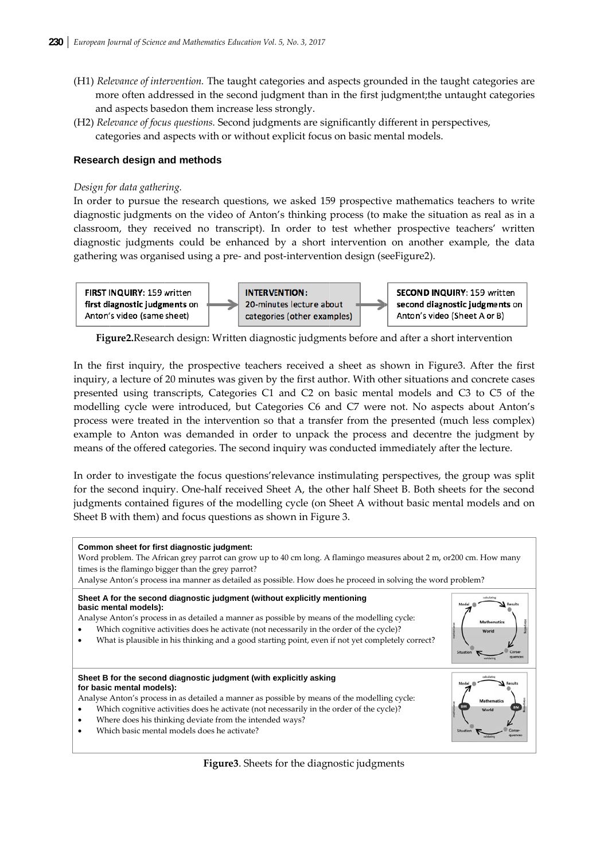- (H1) Relevance of intervention. The taught categories and aspects grounded in the taught categories are more often addressed in the second judgment than in the first judgment; the untaught categories and aspects basedon them increase less strongly.
- (H2) Relevance of focus questions. Second judgments are significantly different in perspectives, categories and aspects with or without explicit focus on basic mental models.

# **Research design and methods**

## Design for data gathering.

In order to pursue the research questions, we asked 159 prospective mathematics teachers to write diagnostic judgments on the video of Anton's thinking process (to make the situation as real as in a classroom, they received no transcript). In order to test whether prospective teachers' written diagnostic judgments could be enhanced by a short intervention on another example, the data gathering was organised using a pre- and post-intervention design (seeFigure2).



Figure2. Research design: Written diagnostic judgments before and after a short intervention

In the first inquiry, the prospective teachers received a sheet as shown in Figure 3. After the first inquiry, a lecture of 20 minutes was given by the first author. With other situations and concrete cases presented using transcripts, Categories C1 and C2 on basic mental models and C3 to C5 of the modelling cycle were introduced, but Categories C6 and C7 were not. No aspects about Anton's process were treated in the intervention so that a transfer from the presented (much less complex) example to Anton was demanded in order to unpack the process and decentre the judgment by means of the offered categories. The second inquiry was conducted immediately after the lecture.

In order to investigate the focus questions' relevance instimulating perspectives, the group was split for the second inquiry. One-half received Sheet A, the other half Sheet B. Both sheets for the second judgments contained figures of the modelling cycle (on Sheet A without basic mental models and on Sheet B with them) and focus questions as shown in Figure 3.



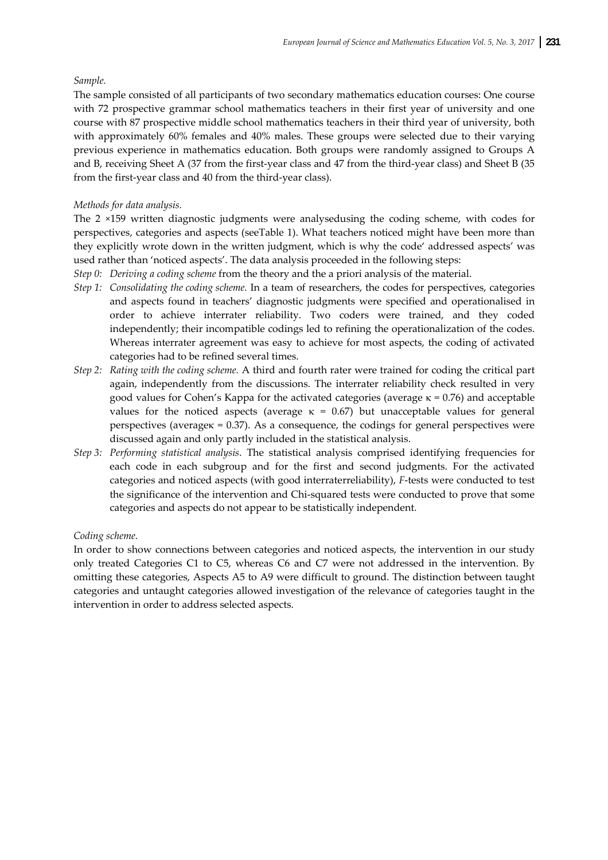## *Sample.*

The sample consisted of all participants of two secondary mathematics education courses: One course with 72 prospective grammar school mathematics teachers in their first year of university and one course with 87 prospective middle school mathematics teachers in their third year of university, both with approximately 60% females and 40% males. These groups were selected due to their varying previous experience in mathematics education. Both groups were randomly assigned to Groups A and B, receiving Sheet A (37 from the first-year class and 47 from the third-year class) and Sheet B (35 from the first‐year class and 40 from the third‐year class).

## *Methods for data analysis.*

The 2 ×159 written diagnostic judgments were analysedusing the coding scheme, with codes for perspectives, categories and aspects (seeTable 1). What teachers noticed might have been more than they explicitly wrote down in the written judgment, which is why the code' addressed aspects' was used rather than 'noticed aspects'. The data analysis proceeded in the following steps:

- *Step 0: Deriving a coding scheme* from the theory and the a priori analysis of the material.
- *Step 1: Consolidating the coding scheme.* In a team of researchers, the codes for perspectives, categories and aspects found in teachers' diagnostic judgments were specified and operationalised in order to achieve interrater reliability. Two coders were trained, and they coded independently; their incompatible codings led to refining the operationalization of the codes. Whereas interrater agreement was easy to achieve for most aspects, the coding of activated categories had to be refined several times.
- *Step 2: Rating with the coding scheme.* A third and fourth rater were trained for coding the critical part again, independently from the discussions. The interrater reliability check resulted in very good values for Cohen's Kappa for the activated categories (average  $κ = 0.76$ ) and acceptable values for the noticed aspects (average  $\kappa = 0.67$ ) but unacceptable values for general perspectives (averageκ = 0.37). As a consequence, the codings for general perspectives were discussed again and only partly included in the statistical analysis.
- *Step 3: Performing statistical analysis*. The statistical analysis comprised identifying frequencies for each code in each subgroup and for the first and second judgments. For the activated categories and noticed aspects (with good interraterreliability), *F*‐tests were conducted to test the significance of the intervention and Chi‐squared tests were conducted to prove that some categories and aspects do not appear to be statistically independent.

## *Coding scheme.*

In order to show connections between categories and noticed aspects, the intervention in our study only treated Categories C1 to C5, whereas C6 and C7 were not addressed in the intervention. By omitting these categories, Aspects A5 to A9 were difficult to ground. The distinction between taught categories and untaught categories allowed investigation of the relevance of categories taught in the intervention in order to address selected aspects.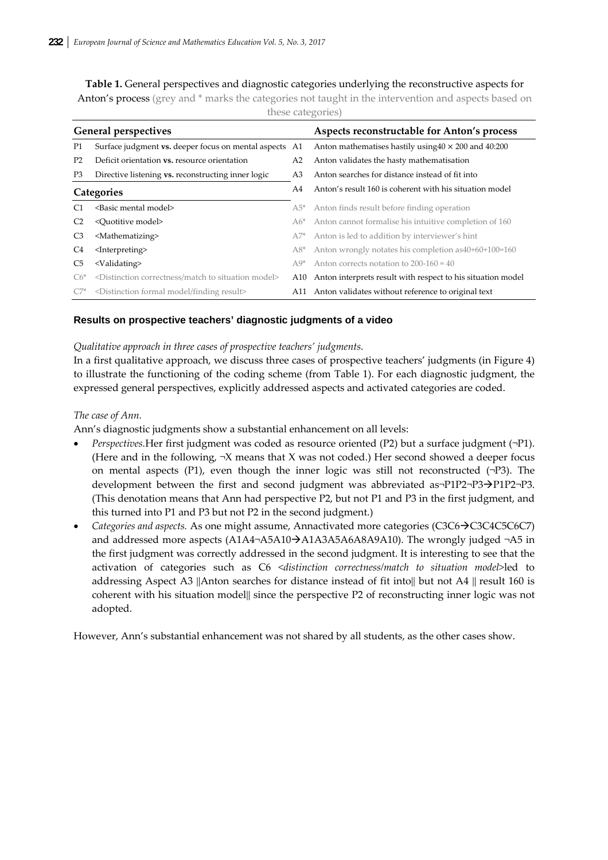**Table 1.** General perspectives and diagnostic categories underlying the reconstructive aspects for Anton's process (grey and  $*$  marks the categories not taught in the intervention and aspects based on these categories)

| <b>General perspectives</b> |                                                                                 |                | Aspects reconstructable for Anton's process                   |
|-----------------------------|---------------------------------------------------------------------------------|----------------|---------------------------------------------------------------|
| P <sub>1</sub>              | Surface judgment vs. deeper focus on mental aspects A1                          |                | Anton mathematises hastily using $40 \times 200$ and $40:200$ |
| P <sub>2</sub>              | Deficit orientation vs. resource orientation                                    | A <sub>2</sub> | Anton validates the hasty mathematisation                     |
| P3                          | Directive listening <b>vs.</b> reconstructing inner logic                       | A <sub>3</sub> | Anton searches for distance instead of fit into               |
| Categories                  |                                                                                 | A4             | Anton's result 160 is coherent with his situation model       |
| C <sub>1</sub>              | <basic mental="" model=""></basic>                                              | $A5^*$         | Anton finds result before finding operation                   |
| C <sub>2</sub>              | <quotitive model=""></quotitive>                                                | $A6*$          | Anton cannot formalise his intuitive completion of 160        |
| C <sub>3</sub>              | <mathematizing></mathematizing>                                                 | $A7^*$         | Anton is led to addition by interviewer's hint                |
| C4                          | <interpreting></interpreting>                                                   | $A8*$          | Anton wrongly notates his completion as 40+60+100=160         |
| C <sub>5</sub>              | <validating></validating>                                                       | $A9*$          | Anton corrects notation to $200-160 = 40$                     |
| $C6*$                       | <distinction correctness="" match="" model="" situation="" to=""></distinction> | A10            | Anton interprets result with respect to his situation model   |
|                             | <distinction finding="" formal="" model="" result=""></distinction>             | A11            | Anton validates without reference to original text            |

## **Results on prospective teachers' diagnostic judgments of a video**

## *Qualitative approach in three cases of prospective teachers' judgments.*

In a first qualitative approach, we discuss three cases of prospective teachers' judgments (in Figure 4) to illustrate the functioning of the coding scheme (from Table 1). For each diagnostic judgment, the expressed general perspectives, explicitly addressed aspects and activated categories are coded.

## *The case of Ann.*

Ann's diagnostic judgments show a substantial enhancement on all levels:

- *Perspectives.*Her first judgment was coded as resource oriented (P2) but a surface judgment (¬P1). (Here and in the following,  $\neg X$  means that X was not coded.) Her second showed a deeper focus on mental aspects (P1), even though the inner logic was still not reconstructed  $(\neg P3)$ . The development between the first and second judgment was abbreviated as- $P1P2$ - $P3$  $\rightarrow$  $P1P2$ - $P3$ . (This denotation means that Ann had perspective P2, but not P1 and P3 in the first judgment, and this turned into P1 and P3 but not P2 in the second judgment.)
- *Categories and aspects.* As one might assume, Annactivated more categories (C3C6→C3C4C5C6C7) and addressed more aspects  $(A1A4 \rightarrow A5A10 \rightarrow A1A3A5A6A8A9A10)$ . The wrongly judged  $\neg A5$  in the first judgment was correctly addressed in the second judgment. It is interesting to see that the activation of categories such as C6 *<distinction correctness/match to situation model>*led to addressing Aspect A3 ||Anton searches for distance instead of fit into|| but not A4 || result 160 is coherent with his situation model|| since the perspective P2 of reconstructing inner logic was not adopted.

However, Ann's substantial enhancement was not shared by all students, as the other cases show.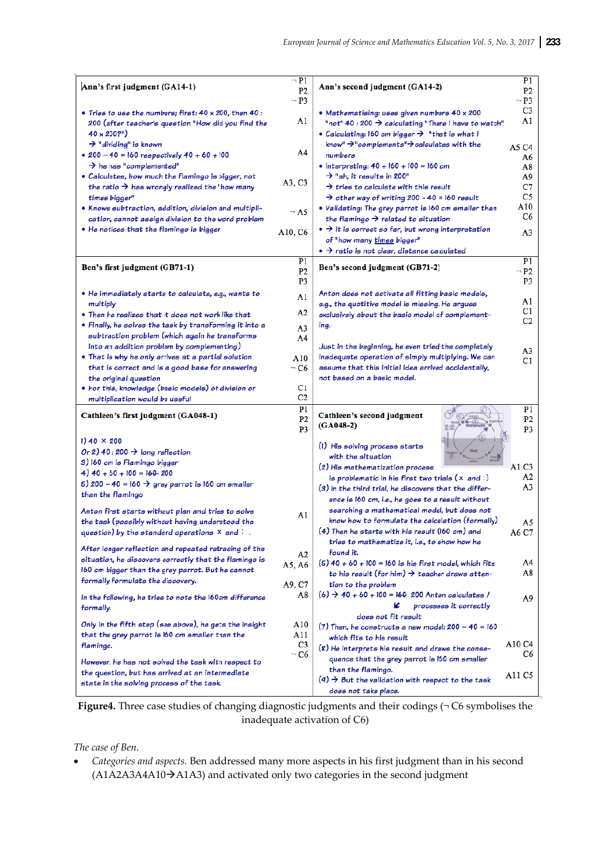| Ann's first judgment (GA14-1)                                                                  | $\neg$ P1<br>P <sub>2</sub> | Ann's second judgment (GA14-2)                                                                                         | P <sub>1</sub><br>P <sub>2</sub> |
|------------------------------------------------------------------------------------------------|-----------------------------|------------------------------------------------------------------------------------------------------------------------|----------------------------------|
|                                                                                                | $\neg$ P3                   |                                                                                                                        | $\neg$ P3                        |
| • Tries to use the numbers; first: $40 \times 200$ , then $40$ :                               |                             | · Mathematising: uses given numbers 40 x 200                                                                           | C3                               |
| 200 (after teacher's question "How did you find the                                            | A1                          | "not" $40:200 \rightarrow$ calculating "There I have to watch"                                                         | A1                               |
| $40 \times 200$ ?"                                                                             |                             | • Calculating: 160 cm bigger $\rightarrow$ "that is what I                                                             |                                  |
| $\rightarrow$ "dividing" is known                                                              |                             | know" $\rightarrow$ "complements" $\rightarrow$ calculates with the                                                    | A5 C4                            |
| $\bullet$ 200 - 40 = 160 respectively 40 + 60 + 100                                            | A4                          | numbers                                                                                                                | A6                               |
| $\rightarrow$ he has "complemented"                                                            |                             | • Interpreting: $40 + 160 + 100 = 160$ cm                                                                              | A8                               |
| • Calculates, how much the flamingo is bigger, not                                             | A3, C3                      | $\rightarrow$ "ah, it results in 200"                                                                                  | A9                               |
| the ratio $\rightarrow$ has wrongly realized the "how many                                     |                             | $\rightarrow$ tries to calculate with this result                                                                      | C7                               |
| times bigger"                                                                                  |                             | $\rightarrow$ other way of writing 200 - 40 = 160 result                                                               | C <sub>5</sub>                   |
| • Knows subtraction, addition, division and multipli-                                          | $\neg$ A5                   | • Validating: The grey parrot is 160 cm smaller than<br>the flamingo $\rightarrow$ related to situation                | A10<br>C6                        |
| cation, cannot assign division to the word problem<br>• He notices that the flamingo is bigger |                             | $\bullet \rightarrow$ it is correct so far, but wrong interpretation                                                   |                                  |
|                                                                                                | A10, C6                     | of "how many times bigger"                                                                                             | A3                               |
|                                                                                                |                             | $\bullet \rightarrow$ ratio is not clear, distance calculated                                                          |                                  |
|                                                                                                | P <sub>1</sub>              |                                                                                                                        | P1                               |
| Ben's first judgment (GB71-1)                                                                  | P <sub>2</sub>              | Ben's second judgment (GB71-2)                                                                                         | $\neg$ P2                        |
|                                                                                                | P <sub>3</sub>              |                                                                                                                        | P3                               |
| · He immediately starts to calculate, e.g., wants to                                           | A1                          | Anton does not activate all fitting basic models,                                                                      |                                  |
| multiply                                                                                       |                             | e.g., the quotitive model is missing. He argues                                                                        | A1                               |
| • Then he realizes that it does not work like that                                             | A2                          | exclusively about the basic model of complement-                                                                       | C1                               |
| • Finally, he solves the task by transforming it into a                                        | A <sub>3</sub>              | ing.                                                                                                                   | C2                               |
| subtraction problem (which again he transforms                                                 | A4                          |                                                                                                                        |                                  |
| into an addition problem by complementing)                                                     |                             | Just in the beginning, he even tried the completely                                                                    | A3                               |
| • That is why he only arrives at a partial solution                                            | A10                         | inadequate operation of simply multiplying. We can                                                                     | C1                               |
| that is correct and is a good base for answering                                               | $\neg$ C6                   | assume that this initial idea arrived accidentally,                                                                    |                                  |
| the original question                                                                          |                             | not based on a basic model.                                                                                            |                                  |
| • For this, knowledge (basic models) of division or                                            | C1<br>C2                    |                                                                                                                        |                                  |
| multiplication would be useful                                                                 | P <sub>1</sub>              |                                                                                                                        | P <sub>1</sub>                   |
| Cathleen's first judgment (GA048-1)                                                            | P <sub>2</sub>              | Cathleen's second judgment<br>$(GA048-2)$                                                                              | P <sub>2</sub>                   |
|                                                                                                | P <sub>3</sub>              |                                                                                                                        | P3                               |
| $1)40 \times 200$                                                                              |                             | (1) His solving process starts                                                                                         |                                  |
| Or 2) 40 : 200 $\rightarrow$ long reflection                                                   |                             | with the situation                                                                                                     |                                  |
| 3) 160 cm is Flamingo bigger                                                                   |                             | (2) His mathematization process                                                                                        | A1 C3                            |
| 4) $40 + 60 + 100 = 160 - 200$                                                                 |                             | is problematic in his first two trials $(x \text{ and } :)$                                                            | A2                               |
| 5) 200 - 40 = 160 $\rightarrow$ grey parrot is 160 cm smaller<br>than the flamingo             |                             | $(3)$ In the third trial, he discovers that the differ-                                                                | A3                               |
|                                                                                                |                             | ence is 160 cm, i.e., he goes to a result without                                                                      |                                  |
| Anton first starts without plan and tries to solve                                             | A1                          | searching a mathematical model, but does not                                                                           |                                  |
| the task (possibly without having understood the                                               |                             | know how to formulate the calculation (formally)                                                                       | A5                               |
| question) by the standard operations $\times$ and :                                            |                             | $(4)$ Then he starts with his result (160 cm) and                                                                      | A6 C7                            |
| After longer reflection and repeated retracing of the                                          |                             | tries to mathematize it, i.e., to show how he                                                                          |                                  |
| situation, he discovers correctly that the flamingo is                                         | A2                          | found it.                                                                                                              |                                  |
| 160 cm bigger than the grey parrot. But he cannot                                              | A5, A6                      | $(5)$ 40 + 60 + 100 = 160 is his first model, which fits<br>to his result (for him) $\rightarrow$ teacher draws atten- | A4<br>A8                         |
| formally formulate the discovery.                                                              |                             |                                                                                                                        |                                  |
|                                                                                                | A9, C7<br>A8                | tion to the problem<br>$(6)$ $\rightarrow$ 40 + 60 + 100 = 160 200 Anton calculates /                                  |                                  |
| In the following, he tries to note the 160cm difference                                        |                             | K<br>processes it correctly                                                                                            | A9                               |
| formally.                                                                                      |                             | does not fit result                                                                                                    |                                  |
| Only in the fifth step (see above), he gets the insight                                        | A10                         | $(7)$ Then, he constructs a new model: 200 - 40 = 160                                                                  |                                  |
| that the grey parrot is 160 cm smaller than the                                                | A11                         | which fits to his result                                                                                               |                                  |
| flamingo.                                                                                      | C <sub>3</sub>              | (8) He interprets his result and draws the conse-                                                                      | A10 C4                           |
| However, he has not solved the task with respect to                                            | $\neg$ C6                   | quence that the grey parrot is 160 cm smaller                                                                          | C6                               |
| the question, but has arrived at an intermediate                                               |                             | than the flamingo.                                                                                                     |                                  |
| state in the solving process of the task.                                                      |                             | $(9)$ $\rightarrow$ But the validation with respect to the task                                                        | A <sub>11</sub> C <sub>5</sub>   |
|                                                                                                |                             | does not take place.                                                                                                   |                                  |

Figure 4. Three case studies of changing diagnostic judgments and their codings  $( \neg \text{C6} \text{ symbols} )$  the inadequate activation of C6)

The case of Ben.

• Categories and aspects. Ben addressed many more aspects in his first judgment than in his second (A1A2A3A4A10→A1A3) and activated only two categories in the second judgment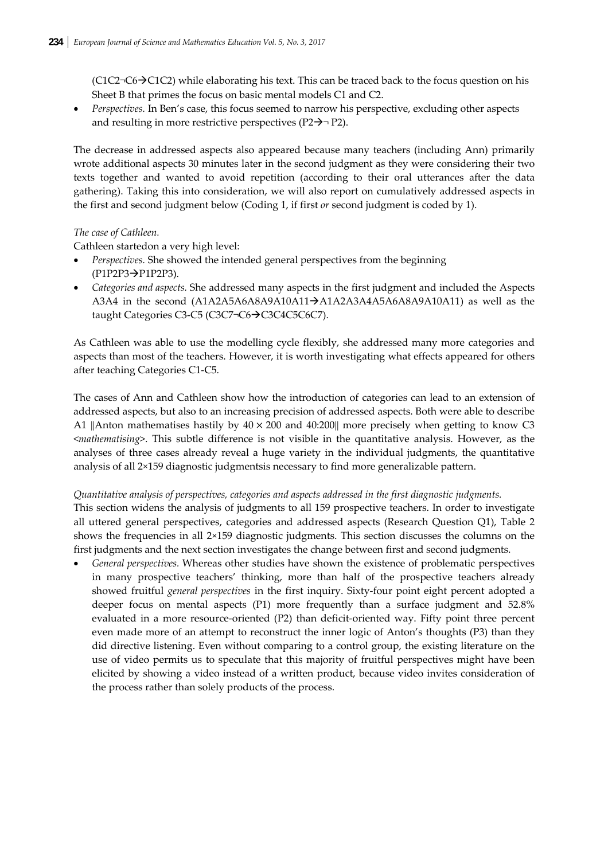$(C1C2\neg C6\neg C1C2)$  while elaborating his text. This can be traced back to the focus question on his Sheet B that primes the focus on basic mental models C1 and C2.

• *Perspectives.* In Ben's case, this focus seemed to narrow his perspective, excluding other aspects and resulting in more restrictive perspectives ( $P2\rightarrow P2$ ).

The decrease in addressed aspects also appeared because many teachers (including Ann) primarily wrote additional aspects 30 minutes later in the second judgment as they were considering their two texts together and wanted to avoid repetition (according to their oral utterances after the data gathering). Taking this into consideration, we will also report on cumulatively addressed aspects in the first and second judgment below (Coding 1, if first *or* second judgment is coded by 1).

# *The case of Cathleen.*

Cathleen startedon a very high level:

- *Perspectives.* She showed the intended general perspectives from the beginning (P1P2P3→P1P2P3).
- *Categories and aspects.* She addressed many aspects in the first judgment and included the Aspects A3A4 in the second (A1A2A5A6A8A9A10A11 $\rightarrow$ A1A2A3A4A5A6A8A9A10A11) as well as the taught Categories C3-C5 (C3C7¬C6→C3C4C5C6C7).

As Cathleen was able to use the modelling cycle flexibly, she addressed many more categories and aspects than most of the teachers. However, it is worth investigating what effects appeared for others after teaching Categories C1‐C5.

The cases of Ann and Cathleen show how the introduction of categories can lead to an extension of addressed aspects, but also to an increasing precision of addressed aspects. Both were able to describe A1 ||Anton mathematises hastily by  $40 \times 200$  and  $40:200$ || more precisely when getting to know C3 <*mathematising*>. This subtle difference is not visible in the quantitative analysis. However, as the analyses of three cases already reveal a huge variety in the individual judgments, the quantitative analysis of all 2×159 diagnostic judgmentsis necessary to find more generalizable pattern.

## *Quantitative analysis of perspectives, categories and aspects addressed in the first diagnostic judgments.*

This section widens the analysis of judgments to all 159 prospective teachers. In order to investigate all uttered general perspectives, categories and addressed aspects (Research Question Q1), Table 2 shows the frequencies in all 2×159 diagnostic judgments. This section discusses the columns on the first judgments and the next section investigates the change between first and second judgments.

• *General perspectives.* Whereas other studies have shown the existence of problematic perspectives in many prospective teachers' thinking, more than half of the prospective teachers already showed fruitful *general perspectives* in the first inquiry. Sixty‐four point eight percent adopted a deeper focus on mental aspects (P1) more frequently than a surface judgment and 52.8% evaluated in a more resource-oriented (P2) than deficit-oriented way. Fifty point three percent even made more of an attempt to reconstruct the inner logic of Anton's thoughts (P3) than they did directive listening. Even without comparing to a control group, the existing literature on the use of video permits us to speculate that this majority of fruitful perspectives might have been elicited by showing a video instead of a written product, because video invites consideration of the process rather than solely products of the process.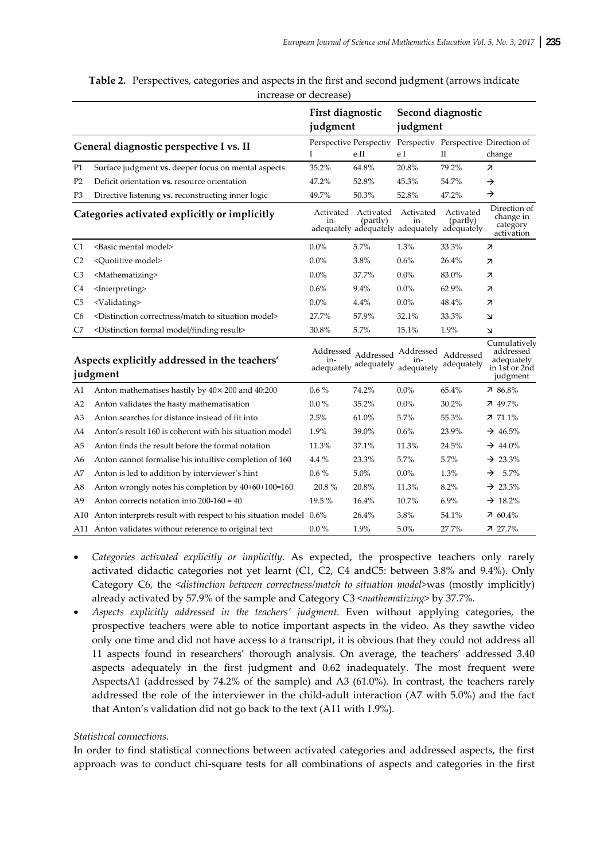|                                         |                                                                                 | First diagnostic               |                                 | Second diagnostic                |                                                                      |                                                                      |
|-----------------------------------------|---------------------------------------------------------------------------------|--------------------------------|---------------------------------|----------------------------------|----------------------------------------------------------------------|----------------------------------------------------------------------|
|                                         |                                                                                 | judgment                       |                                 | judgment                         |                                                                      |                                                                      |
| General diagnostic perspective I vs. II |                                                                                 | T                              | e II                            | e I                              | $\rm II$                                                             | Perspective Perspectiv Perspectiv Perspective Direction of<br>change |
| P1                                      | Surface judgment vs. deeper focus on mental aspects                             | 35.2%                          | 64.8%                           | 20.8%                            | 79.2%                                                                | 71                                                                   |
| P <sub>2</sub>                          | Deficit orientation vs. resource orientation                                    | 47.2%                          | 52.8%                           | 45.3%                            | 54.7%                                                                | →                                                                    |
| P3                                      | Directive listening vs. reconstructing inner logic                              | 49.7%                          | 50.3%                           | 52.8%                            | 47.2%                                                                | →                                                                    |
|                                         | Categories activated explicitly or implicitly                                   | in-                            | Activated Activated<br>(partly) | Activated<br>in-                 | Activated<br>(partly)<br>adequately adequately adequately adequately | Direction of<br>change in<br>category<br>activation                  |
| C1                                      | <basic mental="" model=""></basic>                                              | 0.0%                           | 5.7%                            | 1.3%                             | 33.3%                                                                | 7                                                                    |
| C2                                      | <quotitive model=""></quotitive>                                                | $0.0\%$                        | 3.8%                            | 0.6%                             | 26.4%                                                                | $\overline{\mathcal{A}}$                                             |
| C3                                      | <mathematizing></mathematizing>                                                 | 0.0%                           | 37.7%                           | 0.0%                             | 83.0%                                                                | 7                                                                    |
| C4                                      | <interpreting></interpreting>                                                   | 0.6%                           | 9.4%                            | 0.0%                             | 62.9%                                                                | 71                                                                   |
| C5                                      | <validating></validating>                                                       | 0.0%                           | 4.4%                            | 0.0%                             | 48.4%                                                                | 7                                                                    |
| C6                                      | <distinction correctness="" match="" model="" situation="" to=""></distinction> | 27.7%                          | 57.9%                           | 32.1%                            | 33.3%                                                                | 7                                                                    |
| C7                                      | <distinction finding="" formal="" model="" result=""></distinction>             | 30.8%                          | 5.7%                            | 15.1%                            | 1.9%                                                                 | 7                                                                    |
|                                         | Aspects explicitly addressed in the teachers'<br>judgment                       | Addressed<br>in-<br>adequately | Addressed<br>adequately         | Addressed<br>$1n-$<br>adequately | Addressed<br>adequately                                              | Cumulatively<br>addressed<br>adequately<br>in 1st or 2nd<br>judgment |
| A1                                      | Anton mathematises hastily by $40 \times 200$ and $40:200$                      | $0.6\%$                        | 74.2%                           | 0.0%                             | 65.4%                                                                | $786.8\%$                                                            |
| A2                                      | Anton validates the hasty mathematisation                                       | $0.0\%$                        | 35.2%                           | 0.0%                             | 30.2%                                                                | $749.7\%$                                                            |
| A3                                      | Anton searches for distance instead of fit into                                 | 2.5%                           | 61.0%                           | 5.7%                             | 55.3%                                                                | $77.1\%$                                                             |
| A4                                      | Anton's result 160 is coherent with his situation model                         | 1.9%                           | 39.0%                           | 0.6%                             | 23.9%                                                                | $\rightarrow$ 46.5%                                                  |
| A5                                      | Anton finds the result before the formal notation                               | 11.3%                          | 37.1%                           | 11.3%                            | 24.5%                                                                | $\rightarrow$ 44.0%                                                  |
| A6                                      | Anton cannot formalise his intuitive completion of 160                          | $4.4\%$                        | 23.3%                           | 5.7%                             | 5.7%                                                                 | $\rightarrow 23.3\%$                                                 |
| A7                                      | Anton is led to addition by interviewer's hint                                  | $0.6\%$                        | 5.0%                            | 0.0%                             | 1.3%                                                                 | 5.7%<br>→                                                            |
| A8                                      | Anton wrongly notes his completion by 40+60+100=160                             | 20.8%                          | 20.8%                           | 11.3%                            | 8.2%                                                                 | $\rightarrow 23.3\%$                                                 |
| A9                                      | Anton corrects notation into $200-160 = 40$                                     | 19.5%                          | 16.4%                           | 10.7%                            | 6.9%                                                                 | $\rightarrow 18.2\%$                                                 |
| A10                                     | Anton interprets result with respect to his situation model 0.6%                |                                | 26.4%                           | 3.8%                             | 54.1%                                                                | $760.4\%$                                                            |
|                                         | A11 Anton validates without reference to original text                          | $0.0\%$                        | 1.9%                            | 5.0%                             | 27.7%                                                                | $727.7\%$                                                            |

|                       | Table 2. Perspectives, categories and aspects in the first and second judgment (arrows indicate |  |  |  |  |  |
|-----------------------|-------------------------------------------------------------------------------------------------|--|--|--|--|--|
| increase or decrease) |                                                                                                 |  |  |  |  |  |

- Categories activated explicitly or implicitly. As expected, the prospective teachers only rarely activated didactic categories not yet learnt (C1, C2, C4 and C5: between 3.8% and 9.4%). Only Category C6, the <distinction between correctness/match to situation model>was (mostly implicitly) already activated by 57.9% of the sample and Category C3 <mathematizing> by 37.7%.
- Aspects explicitly addressed in the teachers' judgment. Even without applying categories, the prospective teachers were able to notice important aspects in the video. As they sawthe video only one time and did not have access to a transcript, it is obvious that they could not address all 11 aspects found in researchers' thorough analysis. On average, the teachers' addressed 3.40 aspects adequately in the first judgment and 0.62 inadequately. The most frequent were AspectsA1 (addressed by 74.2% of the sample) and A3 (61.0%). In contrast, the teachers rarely addressed the role of the interviewer in the child-adult interaction (A7 with 5.0%) and the fact that Anton's validation did not go back to the text (A11 with 1.9%).

#### Statistical connections.

In order to find statistical connections between activated categories and addressed aspects, the first approach was to conduct chi-square tests for all combinations of aspects and categories in the first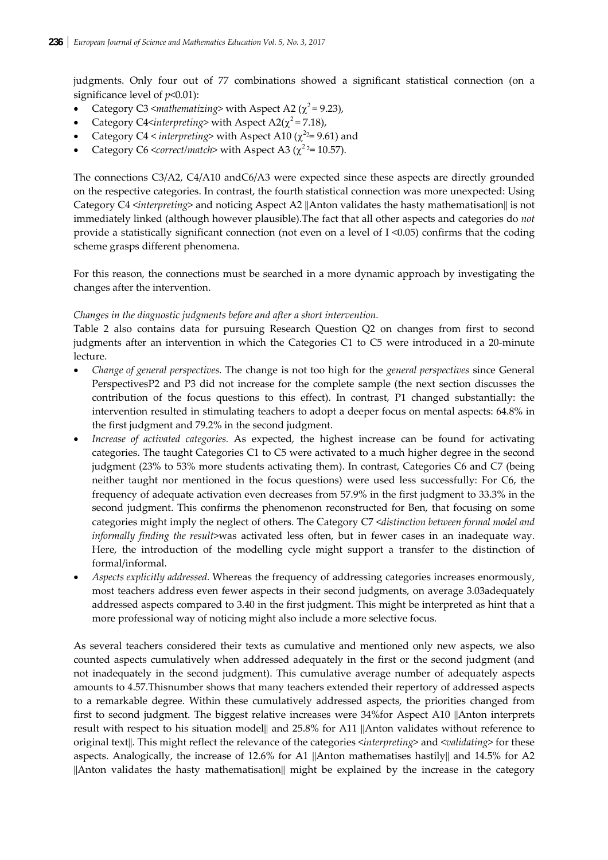judgments. Only four out of 77 combinations showed a significant statistical connection (on a significance level of *p*<0.01):

- Category C3  $\langle$ *mathematizing* $>$  with Aspect A2 ( $\chi^2$  = 9.23),
- Category C4<*interpreting*> with Aspect A2( $\chi^2$ =7.18),
- Category C4 < *interpreting*> with Aspect A10 ( $\chi$ <sup>2</sup> = 9.61) and
- Category C6 <*correct/match*> with Aspect A3 ( $\chi^2$ <sup>2</sup>= 10.57).

The connections C3/A2, C4/A10 andC6/A3 were expected since these aspects are directly grounded on the respective categories. In contrast, the fourth statistical connection was more unexpected: Using Category C4 <*interpreting*> and noticing Aspect A2 ||Anton validates the hasty mathematisation|| is not immediately linked (although however plausible).The fact that all other aspects and categories do *not* provide a statistically significant connection (not even on a level of I <0.05) confirms that the coding scheme grasps different phenomena.

For this reason, the connections must be searched in a more dynamic approach by investigating the changes after the intervention.

## *Changes in the diagnostic judgments before and after a short intervention.*

Table 2 also contains data for pursuing Research Question Q2 on changes from first to second judgments after an intervention in which the Categories C1 to C5 were introduced in a 20-minute lecture.

- *Change of general perspectives.* The change is not too high for the *general perspectives* since General PerspectivesP2 and P3 did not increase for the complete sample (the next section discusses the contribution of the focus questions to this effect). In contrast, P1 changed substantially: the intervention resulted in stimulating teachers to adopt a deeper focus on mental aspects: 64.8% in the first judgment and 79.2% in the second judgment.
- *Increase of activated categories.* As expected, the highest increase can be found for activating categories. The taught Categories C1 to C5 were activated to a much higher degree in the second judgment (23% to 53% more students activating them). In contrast, Categories C6 and C7 (being neither taught nor mentioned in the focus questions) were used less successfully: For C6, the frequency of adequate activation even decreases from 57.9% in the first judgment to 33.3% in the second judgment. This confirms the phenomenon reconstructed for Ben, that focusing on some categories might imply the neglect of others. The Category C7 <*distinction between formal model and informally finding the result*>was activated less often, but in fewer cases in an inadequate way. Here, the introduction of the modelling cycle might support a transfer to the distinction of formal/informal.
- *Aspects explicitly addressed.* Whereas the frequency of addressing categories increases enormously, most teachers address even fewer aspects in their second judgments, on average 3.03adequately addressed aspects compared to 3.40 in the first judgment. This might be interpreted as hint that a more professional way of noticing might also include a more selective focus.

As several teachers considered their texts as cumulative and mentioned only new aspects, we also counted aspects cumulatively when addressed adequately in the first or the second judgment (and not inadequately in the second judgment). This cumulative average number of adequately aspects amounts to 4.57.Thisnumber shows that many teachers extended their repertory of addressed aspects to a remarkable degree. Within these cumulatively addressed aspects, the priorities changed from first to second judgment. The biggest relative increases were 34%for Aspect A10 ||Anton interprets result with respect to his situation model|| and 25.8% for A11 ||Anton validates without reference to original text||. This might reflect the relevance of the categories <*interpreting*> and <*validating*> for these aspects. Analogically, the increase of 12.6% for A1 ||Anton mathematises hastily|| and 14.5% for A2 ||Anton validates the hasty mathematisation|| might be explained by the increase in the category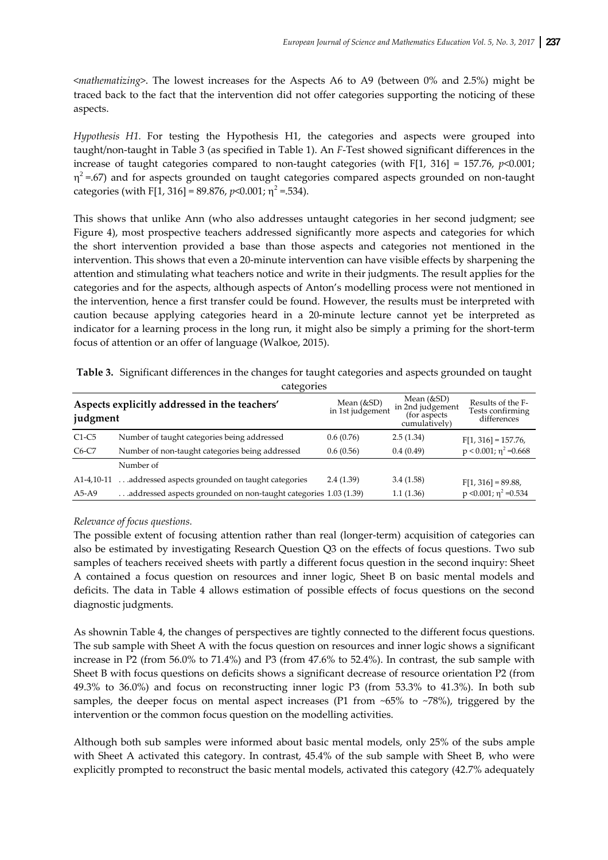<*mathematizing*>. The lowest increases for the Aspects A6 to A9 (between 0% and 2.5%) might be traced back to the fact that the intervention did not offer categories supporting the noticing of these aspects.

*Hypothesis H1.* For testing the Hypothesis H1, the categories and aspects were grouped into taught/non‐taught in Table 3 (as specified in Table 1). An *F*‐Test showed significant differences in the increase of taught categories compared to non-taught categories (with F[1, 316] = 157.76,  $p$ <0.001;  $\eta^2$  =.67) and for aspects grounded on taught categories compared aspects grounded on non-taught categories (with F[1, 316] = 89.876,  $p$ <0.001;  $\eta^2$  = 534).

This shows that unlike Ann (who also addresses untaught categories in her second judgment; see Figure 4), most prospective teachers addressed significantly more aspects and categories for which the short intervention provided a base than those aspects and categories not mentioned in the intervention. This shows that even a 20‐minute intervention can have visible effects by sharpening the attention and stimulating what teachers notice and write in their judgments. The result applies for the categories and for the aspects, although aspects of Anton's modelling process were not mentioned in the intervention, hence a first transfer could be found. However, the results must be interpreted with caution because applying categories heard in a 20‐minute lecture cannot yet be interpreted as indicator for a learning process in the long run, it might also be simply a priming for the short-term focus of attention or an offer of language (Walkoe, 2015).

| Aspects explicitly addressed in the teachers'<br>judgment  |                                                                 | Mean (&SD)<br>in 1st judgement | Mean $(\&SD)$<br>in 2nd judgement<br>(for aspects)<br>cumulatively) | Results of the F-<br>Tests confirming<br>differences |  |
|------------------------------------------------------------|-----------------------------------------------------------------|--------------------------------|---------------------------------------------------------------------|------------------------------------------------------|--|
| $C1-C5$                                                    | Number of taught categories being addressed                     | 0.6(0.76)                      | 2.5(1.34)                                                           | $F[1, 316] = 157.76$                                 |  |
| Number of non-taught categories being addressed<br>$C6-C7$ |                                                                 | 0.6(0.56)                      | 0.4(0.49)                                                           | $p < 0.001$ ; $\eta^2 = 0.668$                       |  |
|                                                            | Number of                                                       |                                |                                                                     |                                                      |  |
| A1-4,10-11                                                 | addressed aspects grounded on taught categories                 | 2.4(1.39)                      | 3.4(1.58)                                                           | $F[1, 316] = 89.88$                                  |  |
| $A5-A9$                                                    | addressed aspects grounded on non-taught categories 1.03 (1.39) |                                | 1.1(1.36)                                                           | $p \le 0.001$ ; $\eta^2 = 0.534$                     |  |

|            | Table 3. Significant differences in the changes for taught categories and aspects grounded on taught |  |  |  |  |
|------------|------------------------------------------------------------------------------------------------------|--|--|--|--|
| categories |                                                                                                      |  |  |  |  |

## *Relevance of focus questions.*

The possible extent of focusing attention rather than real (longer-term) acquisition of categories can also be estimated by investigating Research Question Q3 on the effects of focus questions. Two sub samples of teachers received sheets with partly a different focus question in the second inquiry: Sheet A contained a focus question on resources and inner logic, Sheet B on basic mental models and deficits. The data in Table 4 allows estimation of possible effects of focus questions on the second diagnostic judgments.

As shownin Table 4, the changes of perspectives are tightly connected to the different focus questions. The sub sample with Sheet A with the focus question on resources and inner logic shows a significant increase in P2 (from 56.0% to 71.4%) and P3 (from 47.6% to 52.4%). In contrast, the sub sample with Sheet B with focus questions on deficits shows a significant decrease of resource orientation P2 (from 49.3% to 36.0%) and focus on reconstructing inner logic P3 (from 53.3% to 41.3%). In both sub samples, the deeper focus on mental aspect increases (P1 from ~65% to ~78%), triggered by the intervention or the common focus question on the modelling activities.

Although both sub samples were informed about basic mental models, only 25% of the subs ample with Sheet A activated this category. In contrast, 45.4% of the sub sample with Sheet B, who were explicitly prompted to reconstruct the basic mental models, activated this category (42.7% adequately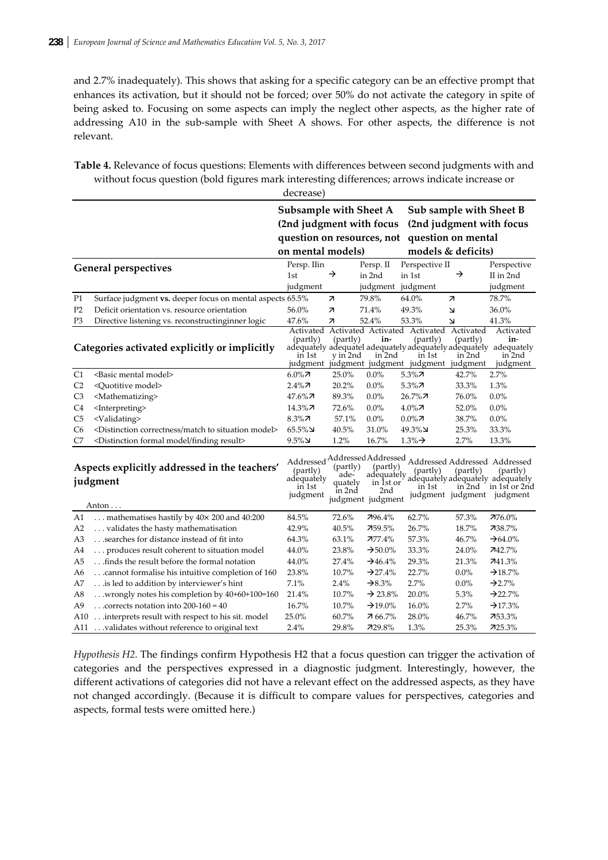and 2.7% inadequately). This shows that asking for a specific category can be an effective prompt that enhances its activation, but it should not be forced; over 50% do not activate the category in spite of being asked to. Focusing on some aspects can imply the neglect other aspects, as the higher rate of addressing A10 in the sub-sample with Sheet A shows. For other aspects, the difference is not relevant.

| Table 4. Relevance of focus questions: Elements with differences between second judgments with and |
|----------------------------------------------------------------------------------------------------|
| without focus question (bold figures mark interesting differences; arrows indicate increase or     |
| decrease)                                                                                          |

|                                                                    |                                                                                 | Subsample with Sheet A                       |                                       |                                                                 | Sub sample with Sheet B                                                                                                                                        |                                 |                                                                                             |
|--------------------------------------------------------------------|---------------------------------------------------------------------------------|----------------------------------------------|---------------------------------------|-----------------------------------------------------------------|----------------------------------------------------------------------------------------------------------------------------------------------------------------|---------------------------------|---------------------------------------------------------------------------------------------|
|                                                                    | (2nd judgment with focus                                                        |                                              |                                       |                                                                 |                                                                                                                                                                |                                 | (2nd judgment with focus                                                                    |
|                                                                    |                                                                                 | question on resources, not                   |                                       |                                                                 | question on mental                                                                                                                                             |                                 |                                                                                             |
|                                                                    |                                                                                 | on mental models)                            |                                       |                                                                 |                                                                                                                                                                | models & deficits)              |                                                                                             |
|                                                                    | <b>General perspectives</b>                                                     | Persp. IIin                                  |                                       | Persp. II                                                       | Perspective II                                                                                                                                                 |                                 | Perspective                                                                                 |
|                                                                    |                                                                                 | 1st                                          | →                                     | in 2nd                                                          | in 1st                                                                                                                                                         | →                               | II in 2nd                                                                                   |
|                                                                    |                                                                                 | judgment                                     |                                       | judgment                                                        | judgment                                                                                                                                                       |                                 | judgment                                                                                    |
| P1                                                                 | Surface judgment vs. deeper focus on mental aspects 65.5%                       |                                              | 71                                    | 79.8%                                                           | 64.0%                                                                                                                                                          | $\overline{\mathcal{A}}$        | 78.7%                                                                                       |
| P <sub>2</sub>                                                     | Deficit orientation vs. resource orientation                                    | 56.0%                                        | 71                                    | 71.4%                                                           | 49.3%                                                                                                                                                          | 7                               | 36.0%                                                                                       |
| P3                                                                 | Directive listening vs. reconstructinginner logic                               | 47.6%                                        | 71                                    | 52.4%                                                           | 53.3%                                                                                                                                                          | 7                               | 41.3%                                                                                       |
|                                                                    | Categories activated explicitly or implicitly                                   | Activated<br>(partly)<br>in 1st<br>judgment  | (partly)<br>y in 2nd                  | in-<br>in 2nd                                                   | Activated Activated Activated<br>(partly)<br>adequately adequatel adequately adequately adequately adequately<br>in 1st<br>judgment judgment judgment judgment | Activated<br>(partly)<br>in 2nd | Activated<br>in-<br>in 2nd<br>judgment                                                      |
| C1                                                                 | <basic mental="" model=""></basic>                                              | $6.0\%$ 7                                    | 25.0%                                 | 0.0%                                                            | $5.3\%$ 7                                                                                                                                                      | 42.7%                           | 2.7%                                                                                        |
| C <sub>2</sub>                                                     | <quotitive model=""></quotitive>                                                | $2.4\%$ 7                                    | 20.2%                                 | 0.0%                                                            | $5.3\%$ 7                                                                                                                                                      | 33.3%                           | 1.3%                                                                                        |
| C <sub>3</sub>                                                     | <mathematizing></mathematizing>                                                 | $47.6\%$ 7                                   | 89.3%                                 | 0.0%                                                            | $26.7\%$ 7                                                                                                                                                     | 76.0%                           | 0.0%                                                                                        |
| C4                                                                 | <interpreting></interpreting>                                                   | $14.3\%$ 7                                   | 72.6%                                 | 0.0%                                                            | $4.0\%$ 7                                                                                                                                                      | 52.0%                           | 0.0%                                                                                        |
| C <sub>5</sub>                                                     | <validating></validating>                                                       | $8.3\%$ 7                                    | 57.1%                                 | $0.0\%$                                                         | $0.0\%$ 7                                                                                                                                                      | 38.7%                           | $0.0\%$                                                                                     |
| C <sub>6</sub>                                                     | <distinction correctness="" match="" model="" situation="" to=""></distinction> | $65.5\%$ لا                                  | 40.5%                                 | 31.0%                                                           | لا%49.3                                                                                                                                                        | 25.3%                           | 33.3%                                                                                       |
| C7                                                                 | <distinction finding="" formal="" model="" result=""></distinction>             | $9.5\%$                                      | 1.2%                                  | 16.7%                                                           | $1.3\% \rightarrow$                                                                                                                                            | 2.7%                            | 13.3%                                                                                       |
| Aspects explicitly addressed in the teachers'<br>judgment<br>Anton |                                                                                 | (partly)<br>adequately<br>in 1st<br>judgment | (partly)<br>ade-<br>quately<br>in 2nd | (partly)<br>adequately<br>in 1st or<br>2nd<br>judgment judgment | Addressed Addressed Addressed Addressed Addressed Addressed<br>(partly)<br>in 1st                                                                              | (partly)<br>in 2nd              | (partly)<br>adequately adequately adequately<br>in 1st or 2nd<br>judgment judgment judgment |
| A1                                                                 | mathematises hastily by $40 \times 200$ and $40:200$                            | 84.5%                                        | 72.6%                                 | 796.4%                                                          | 62.7%                                                                                                                                                          | 57.3%                           | 776.0%                                                                                      |
| A2                                                                 | validates the hasty mathematisation                                             | 42.9%                                        | 40.5%                                 | 759.5%                                                          | 26.7%                                                                                                                                                          | 18.7%                           | 738.7%                                                                                      |
| A3                                                                 | searches for distance instead of fit into                                       | 64.3%                                        | 63.1%                                 | $777.4\%$                                                       | 57.3%                                                                                                                                                          | 46.7%                           | $\rightarrow 64.0\%$                                                                        |
| A4                                                                 | produces result coherent to situation model                                     | 44.0%                                        | 23.8%                                 | $\rightarrow 50.0\%$                                            | 33.3%                                                                                                                                                          | 24.0%                           | 742.7%                                                                                      |
| A5                                                                 | finds the result before the formal notation                                     | 44.0%                                        | 27.4%                                 | $\rightarrow$ 46.4%                                             | 29.3%                                                                                                                                                          | 21.3%                           | 741.3%                                                                                      |
| A6                                                                 | cannot formalise his intuitive completion of 160                                | 23.8%                                        | 10.7%                                 | $\rightarrow$ 27.4%                                             | 22.7%                                                                                                                                                          | $0.0\%$                         | $\rightarrow$ 18.7%                                                                         |
| Α7                                                                 | is led to addition by interviewer's hint                                        | 7.1%                                         | 2.4%                                  | $\rightarrow 8.3\%$                                             | 2.7%                                                                                                                                                           | $0.0\%$                         | $-22.7%$                                                                                    |
| A8                                                                 | wrongly notes his completion by 40+60+100=160                                   | 21.4%                                        | 10.7%                                 | $\rightarrow$ 23.8%                                             | 20.0%                                                                                                                                                          | 5.3%                            | $\rightarrow$ 22.7%                                                                         |
| A9                                                                 | corrects notation into $200-160 = 40$                                           | 16.7%                                        | 10.7%                                 | $\rightarrow$ 19.0%                                             | 16.0%                                                                                                                                                          | 2.7%                            | $\rightarrow$ 17.3%                                                                         |
| A10                                                                | interprets result with respect to his sit. model                                | 25.0%                                        | 60.7%                                 | 7 66.7%                                                         | 28.0%                                                                                                                                                          | 46.7%                           | 753.3%                                                                                      |
| A11                                                                | validates without reference to original text                                    | 2.4%                                         | 29.8%                                 | 729.8%                                                          | 1.3%                                                                                                                                                           | 25.3%                           | 725.3%                                                                                      |

Hypothesis H2. The findings confirm Hypothesis H2 that a focus question can trigger the activation of categories and the perspectives expressed in a diagnostic judgment. Interestingly, however, the different activations of categories did not have a relevant effect on the addressed aspects, as they have not changed accordingly. (Because it is difficult to compare values for perspectives, categories and aspects, formal tests were omitted here.)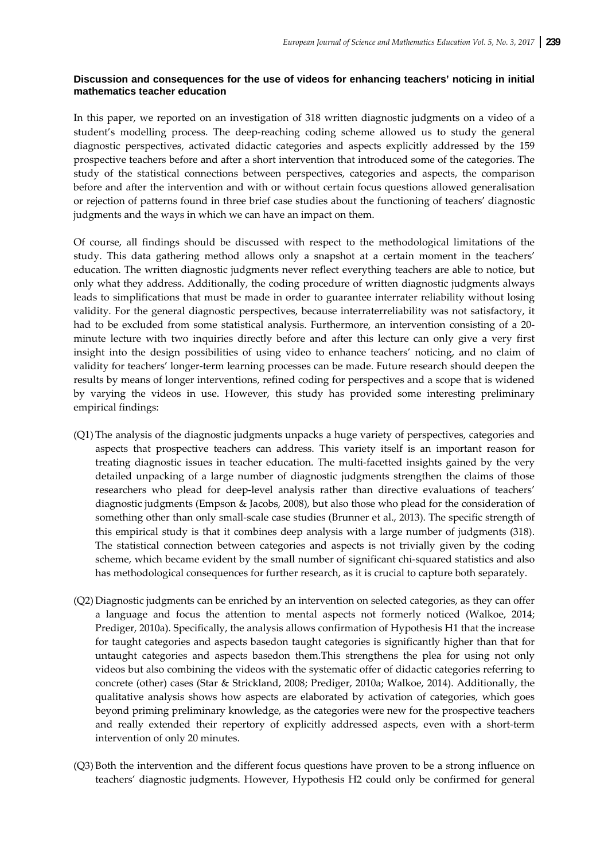# **Discussion and consequences for the use of videos for enhancing teachers' noticing in initial mathematics teacher education**

In this paper, we reported on an investigation of 318 written diagnostic judgments on a video of a student's modelling process. The deep-reaching coding scheme allowed us to study the general diagnostic perspectives, activated didactic categories and aspects explicitly addressed by the 159 prospective teachers before and after a short intervention that introduced some of the categories. The study of the statistical connections between perspectives, categories and aspects, the comparison before and after the intervention and with or without certain focus questions allowed generalisation or rejection of patterns found in three brief case studies about the functioning of teachers' diagnostic judgments and the ways in which we can have an impact on them.

Of course, all findings should be discussed with respect to the methodological limitations of the study. This data gathering method allows only a snapshot at a certain moment in the teachers' education. The written diagnostic judgments never reflect everything teachers are able to notice, but only what they address. Additionally, the coding procedure of written diagnostic judgments always leads to simplifications that must be made in order to guarantee interrater reliability without losing validity. For the general diagnostic perspectives, because interraterreliability was not satisfactory, it had to be excluded from some statistical analysis. Furthermore, an intervention consisting of a 20minute lecture with two inquiries directly before and after this lecture can only give a very first insight into the design possibilities of using video to enhance teachers' noticing, and no claim of validity for teachers' longer‐term learning processes can be made. Future research should deepen the results by means of longer interventions, refined coding for perspectives and a scope that is widened by varying the videos in use. However, this study has provided some interesting preliminary empirical findings:

- (Q1) The analysis of the diagnostic judgments unpacks a huge variety of perspectives, categories and aspects that prospective teachers can address. This variety itself is an important reason for treating diagnostic issues in teacher education. The multi-facetted insights gained by the very detailed unpacking of a large number of diagnostic judgments strengthen the claims of those researchers who plead for deep-level analysis rather than directive evaluations of teachers' diagnostic judgments (Empson & Jacobs, 2008), but also those who plead for the consideration of something other than only small-scale case studies (Brunner et al., 2013). The specific strength of this empirical study is that it combines deep analysis with a large number of judgments (318). The statistical connection between categories and aspects is not trivially given by the coding scheme, which became evident by the small number of significant chi-squared statistics and also has methodological consequences for further research, as it is crucial to capture both separately.
- (Q2) Diagnostic judgments can be enriched by an intervention on selected categories, as they can offer a language and focus the attention to mental aspects not formerly noticed (Walkoe, 2014; Prediger, 2010a). Specifically, the analysis allows confirmation of Hypothesis H1 that the increase for taught categories and aspects basedon taught categories is significantly higher than that for untaught categories and aspects basedon them.This strengthens the plea for using not only videos but also combining the videos with the systematic offer of didactic categories referring to concrete (other) cases (Star & Strickland, 2008; Prediger, 2010a; Walkoe, 2014). Additionally, the qualitative analysis shows how aspects are elaborated by activation of categories, which goes beyond priming preliminary knowledge, as the categories were new for the prospective teachers and really extended their repertory of explicitly addressed aspects, even with a short‐term intervention of only 20 minutes.
- (Q3) Both the intervention and the different focus questions have proven to be a strong influence on teachers' diagnostic judgments. However, Hypothesis H2 could only be confirmed for general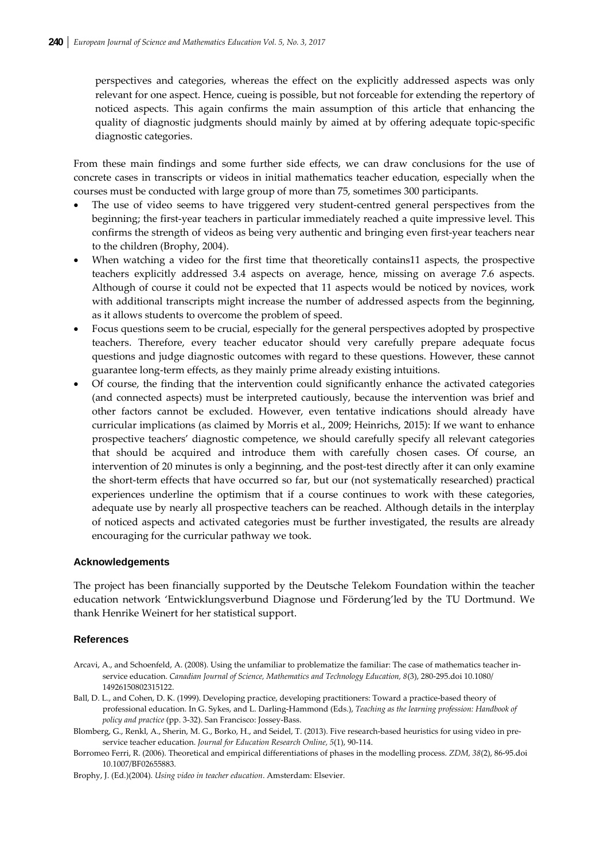perspectives and categories, whereas the effect on the explicitly addressed aspects was only relevant for one aspect. Hence, cueing is possible, but not forceable for extending the repertory of noticed aspects. This again confirms the main assumption of this article that enhancing the quality of diagnostic judgments should mainly by aimed at by offering adequate topic‐specific diagnostic categories.

From these main findings and some further side effects, we can draw conclusions for the use of concrete cases in transcripts or videos in initial mathematics teacher education, especially when the courses must be conducted with large group of more than 75, sometimes 300 participants.

- The use of video seems to have triggered very student-centred general perspectives from the beginning; the first-year teachers in particular immediately reached a quite impressive level. This confirms the strength of videos as being very authentic and bringing even first-year teachers near to the children (Brophy, 2004).
- When watching a video for the first time that theoretically contains11 aspects, the prospective teachers explicitly addressed 3.4 aspects on average, hence, missing on average 7.6 aspects. Although of course it could not be expected that 11 aspects would be noticed by novices, work with additional transcripts might increase the number of addressed aspects from the beginning, as it allows students to overcome the problem of speed.
- Focus questions seem to be crucial, especially for the general perspectives adopted by prospective teachers. Therefore, every teacher educator should very carefully prepare adequate focus questions and judge diagnostic outcomes with regard to these questions. However, these cannot guarantee long‐term effects, as they mainly prime already existing intuitions.
- Of course, the finding that the intervention could significantly enhance the activated categories (and connected aspects) must be interpreted cautiously, because the intervention was brief and other factors cannot be excluded. However, even tentative indications should already have curricular implications (as claimed by Morris et al., 2009; Heinrichs, 2015): If we want to enhance prospective teachers' diagnostic competence, we should carefully specify all relevant categories that should be acquired and introduce them with carefully chosen cases. Of course, an intervention of 20 minutes is only a beginning, and the post-test directly after it can only examine the short-term effects that have occurred so far, but our (not systematically researched) practical experiences underline the optimism that if a course continues to work with these categories, adequate use by nearly all prospective teachers can be reached. Although details in the interplay of noticed aspects and activated categories must be further investigated, the results are already encouraging for the curricular pathway we took.

#### **Acknowledgements**

The project has been financially supported by the Deutsche Telekom Foundation within the teacher education network 'Entwicklungsverbund Diagnose und Förderung'led by the TU Dortmund. We thank Henrike Weinert for her statistical support.

#### **References**

- Arcavi, A., and Schoenfeld, A. (2008). Using the unfamiliar to problematize the familiar: The case of mathematics teacher in‐ service education. *Canadian Journal of Science, Mathematics and Technology Education, 8*(3), 280‐295.doi 10.1080/ 14926150802315122.
- Ball, D. L., and Cohen, D. K. (1999). Developing practice, developing practitioners: Toward a practice-based theory of professional education. In G. Sykes, and L. Darling‐Hammond (Eds.), *Teaching as the learning profession: Handbook of policy and practice* (pp. 3‐32). San Francisco: Jossey‐Bass.
- Blomberg, G., Renkl, A., Sherin, M. G., Borko, H., and Seidel, T. (2013). Five research-based heuristics for using video in preservice teacher education. *Journal for Education Research Online, 5*(1), 90‐114.
- Borromeo Ferri, R. (2006). Theoretical and empirical differentiations of phases in the modelling process. *ZDM, 38*(2), 86‐95.doi 10.1007/BF02655883.
- Brophy, J. (Ed.)(2004). *Using video in teacher education*. Amsterdam: Elsevier.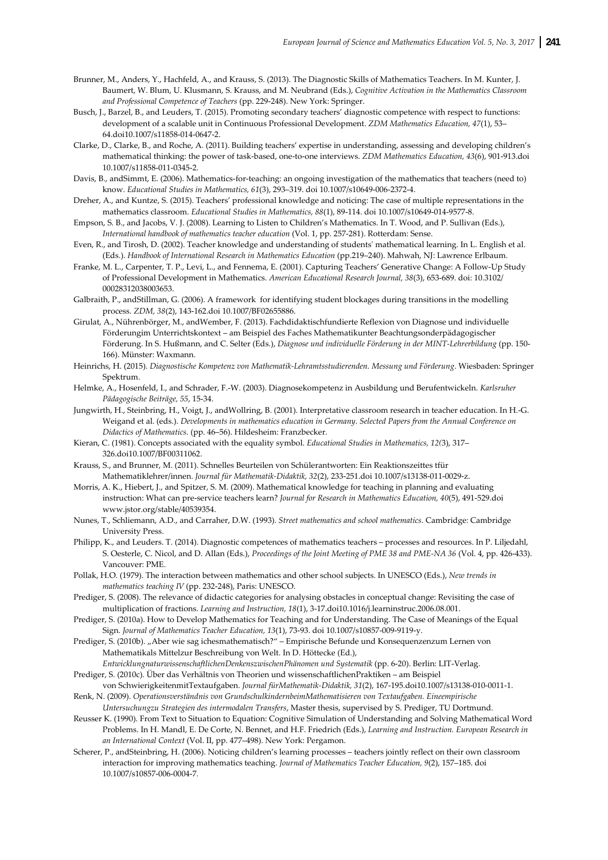- Brunner, M., Anders, Y., Hachfeld, A., and Krauss, S. (2013). The Diagnostic Skills of Mathematics Teachers. In M. Kunter, J. Baumert, W. Blum, U. Klusmann, S. Krauss, and M. Neubrand (Eds.), *Cognitive Activation in the Mathematics Classroom and Professional Competence of Teachers* (pp. 229‐248). New York: Springer.
- Busch, J., Barzel, B., and Leuders, T. (2015). Promoting secondary teachers' diagnostic competence with respect to functions: development of a scalable unit in Continuous Professional Development. *ZDM Mathematics Education, 47*(1), 53– 64.doi10.1007/s11858‐014‐0647‐2.
- Clarke, D., Clarke, B., and Roche, A. (2011). Building teachers' expertise in understanding, assessing and developing children's mathematical thinking: the power of task‐based, one‐to‐one interviews. *ZDM Mathematics Education, 43*(6), 901‐913.doi 10.1007/s11858‐011‐0345‐2.
- Davis, B., andSimmt, E. (2006). Mathematics-for-teaching: an ongoing investigation of the mathematics that teachers (need to) know. *Educational Studies in Mathematics, 61*(3), 293–319. doi 10.1007/s10649‐006‐2372‐4.
- Dreher, A., and Kuntze, S. (2015). Teachers' professional knowledge and noticing: The case of multiple representations in the mathematics classroom. *Educational Studies in Mathematics, 88*(1), 89‐114. doi 10.1007/s10649‐014‐9577‐8.
- Empson, S. B., and Jacobs, V. J. (2008). Learning to Listen to Children's Mathematics. In T. Wood, and P. Sullivan (Eds.), *International handbook of mathematics teacher education* (Vol. 1, pp. 257‐281). Rotterdam: Sense.
- Even, R., and Tirosh, D. (2002). Teacher knowledge and understanding of studentsʹ mathematical learning. In L. English et al. (Eds.). *Handbook of International Research in Mathematics Education* (pp.219–240). Mahwah, NJ: Lawrence Erlbaum.
- Franke, M. L., Carpenter, T. P., Levi, L., and Fennema, E. (2001). Capturing Teachers' Generative Change: A Follow‐Up Study of Professional Development in Mathematics. *American Educational Research Journal, 38*(3), 653‐689. doi: 10.3102/ 00028312038003653.
- Galbraith, P., andStillman, G. (2006). A framework for identifying student blockages during transitions in the modelling process. *ZDM, 38*(2), 143‐162.doi 10.1007/BF02655886.
- Girulat, A., Nührenbörger, M., andWember, F. (2013). Fachdidaktischfundierte Reflexion von Diagnose und individuelle Förderungim Unterrichtskontext – am Beispiel des Faches Mathematikunter Beachtungsonderpädagogischer Förderung. In S. Hußmann, and C. Selter (Eds.), *Diagnose und individuelle Förderung in der MINT‐Lehrerbildung* (pp. 150‐ 166). Münster: Waxmann.
- Heinrichs, H. (2015). *Diagnostische Kompetenz von Mathematik‐Lehramtsstudierenden. Messung und Förderung*. Wiesbaden: Springer Spektrum.
- Helmke, A., Hosenfeld, I., and Schrader, F.‐W. (2003). Diagnosekompetenz in Ausbildung und Berufentwickeln. *Karlsruher Pädagogische Beiträge, 55*, 15‐34.
- Jungwirth, H., Steinbring, H., Voigt, J., andWollring, B. (2001). Interpretative classroom research in teacher education. In H.‐G. Weigand et al. (eds.). *Developments in mathematics education in Germany. Selected Papers from the Annual Conference on Didactics of Mathematics.* (pp. 46–56). Hildesheim: Franzbecker.
- Kieran, C. (1981). Concepts associated with the equality symbol. *Educational Studies in Mathematics, 12(*3), 317– 326.doi10.1007/BF00311062.
- Krauss, S., and Brunner, M. (2011). Schnelles Beurteilen von Schülerantworten: Ein Reaktionszeittes tfür Mathematiklehrer/innen. *Journal für Mathematik‐Didaktik, 32*(2), 233‐251.doi 10.1007/s13138‐011‐0029‐z.
- Morris, A. K., Hiebert, J., and Spitzer, S. M. (2009). Mathematical knowledge for teaching in planning and evaluating instruction: What can pre‐service teachers learn? *Journal for Research in Mathematics Education, 40*(5), 491‐529.doi www.jstor.org/stable/40539354.
- Nunes, T., Schliemann, A.D., and Carraher, D.W. (1993). *Street mathematics and school mathematics*. Cambridge: Cambridge University Press.
- Philipp, K., and Leuders. T. (2014). Diagnostic competences of mathematics teachers processes and resources. In P. Liljedahl, S. Oesterle, C. Nicol, and D. Allan (Eds.), *Proceedings of the Joint Meeting of PME 38 and PME‐NA 36* (Vol. 4, pp. 426‐433). Vancouver: PME.
- Pollak, H.O. (1979). The interaction between mathematics and other school subjects. In UNESCO (Eds.), *New trends in mathematics teaching IV* (pp. 232‐248), Paris: UNESCO.
- Prediger, S. (2008). The relevance of didactic categories for analysing obstacles in conceptual change: Revisiting the case of multiplication of fractions. *Learning and Instruction, 18*(1), 3‐17.doi10.1016/j.learninstruc.2006.08.001.
- Prediger, S. (2010a). How to Develop Mathematics for Teaching and for Understanding. The Case of Meanings of the Equal Sign. *Journal of Mathematics Teacher Education, 13*(1), 73‐93. doi 10.1007/s10857‐009‐9119‐y.

Prediger, S. (2010b). "Aber wie sag ichesmathematisch?" – Empirische Befunde und Konsequenzenzum Lernen von Mathematikals Mittelzur Beschreibung von Welt. In D. Höttecke (Ed.),

- *EntwicklungnaturwissenschaftlichenDenkenszwischenPhänomen und Systematik* (pp. 6‐20). Berlin: LIT‐Verlag. Prediger, S. (2010c). Über das Verhältnis von Theorien und wissenschaftlichenPraktiken – am Beispiel
- von SchwierigkeitenmitTextaufgaben. *Journal fürMathematik‐Didaktik, 31*(2), 167‐195.doi10.1007/s13138‐010‐0011‐1. Renk, N. (2009). *Operationsverständnis von GrundschulkindernbeimMathematisieren von Textaufgaben. Eineempirische*
- *Untersuchungzu Strategien des intermodalen Transfers*, Master thesis, supervised by S. Prediger, TU Dortmund. Reusser K. (1990). From Text to Situation to Equation: Cognitive Simulation of Understanding and Solving Mathematical Word Problems. In H. Mandl, E. De Corte, N. Bennet, and H.F. Friedrich (Eds.), *Learning and Instruction. European Research in*
- *an International Context* (Vol. II, pp. 477–498). New York: Pergamon. Scherer, P., andSteinbring, H. (2006). Noticing children's learning processes – teachers jointly reflect on their own classroom
- interaction for improving mathematics teaching. *Journal of Mathematics Teacher Education, 9*(2), 157–185. doi 10.1007/s10857‐006‐0004‐7.